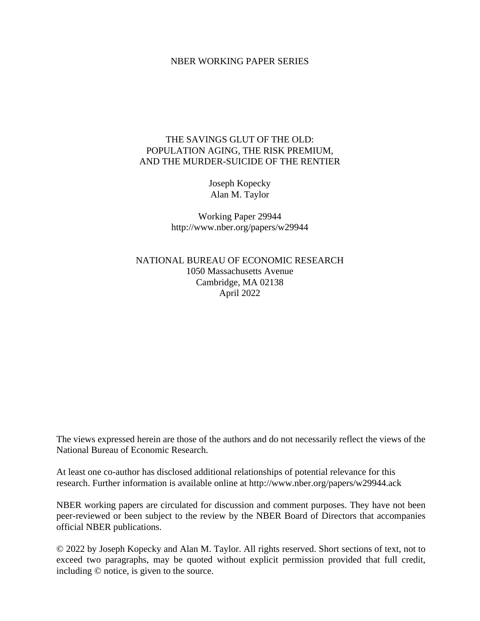#### NBER WORKING PAPER SERIES

## THE SAVINGS GLUT OF THE OLD: POPULATION AGING, THE RISK PREMIUM, AND THE MURDER-SUICIDE OF THE RENTIER

Joseph Kopecky Alan M. Taylor

Working Paper 29944 http://www.nber.org/papers/w29944

NATIONAL BUREAU OF ECONOMIC RESEARCH 1050 Massachusetts Avenue Cambridge, MA 02138 April 2022

The views expressed herein are those of the authors and do not necessarily reflect the views of the National Bureau of Economic Research.

At least one co-author has disclosed additional relationships of potential relevance for this research. Further information is available online at http://www.nber.org/papers/w29944.ack

NBER working papers are circulated for discussion and comment purposes. They have not been peer-reviewed or been subject to the review by the NBER Board of Directors that accompanies official NBER publications.

© 2022 by Joseph Kopecky and Alan M. Taylor. All rights reserved. Short sections of text, not to exceed two paragraphs, may be quoted without explicit permission provided that full credit, including © notice, is given to the source.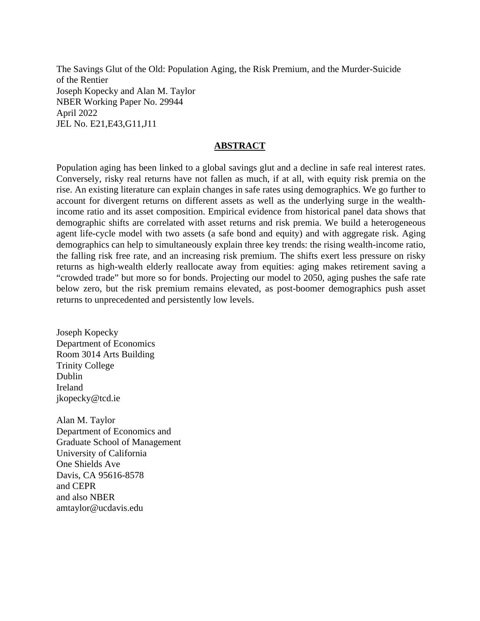The Savings Glut of the Old: Population Aging, the Risk Premium, and the Murder-Suicide of the Rentier Joseph Kopecky and Alan M. Taylor NBER Working Paper No. 29944 April 2022 JEL No. E21,E43,G11,J11

#### **ABSTRACT**

Population aging has been linked to a global savings glut and a decline in safe real interest rates. Conversely, risky real returns have not fallen as much, if at all, with equity risk premia on the rise. An existing literature can explain changes in safe rates using demographics. We go further to account for divergent returns on different assets as well as the underlying surge in the wealthincome ratio and its asset composition. Empirical evidence from historical panel data shows that demographic shifts are correlated with asset returns and risk premia. We build a heterogeneous agent life-cycle model with two assets (a safe bond and equity) and with aggregate risk. Aging demographics can help to simultaneously explain three key trends: the rising wealth-income ratio, the falling risk free rate, and an increasing risk premium. The shifts exert less pressure on risky returns as high-wealth elderly reallocate away from equities: aging makes retirement saving a "crowded trade" but more so for bonds. Projecting our model to 2050, aging pushes the safe rate below zero, but the risk premium remains elevated, as post-boomer demographics push asset returns to unprecedented and persistently low levels.

Joseph Kopecky Department of Economics Room 3014 Arts Building Trinity College Dublin Ireland jkopecky@tcd.ie

Alan M. Taylor Department of Economics and Graduate School of Management University of California One Shields Ave Davis, CA 95616-8578 and CEPR and also NBER amtaylor@ucdavis.edu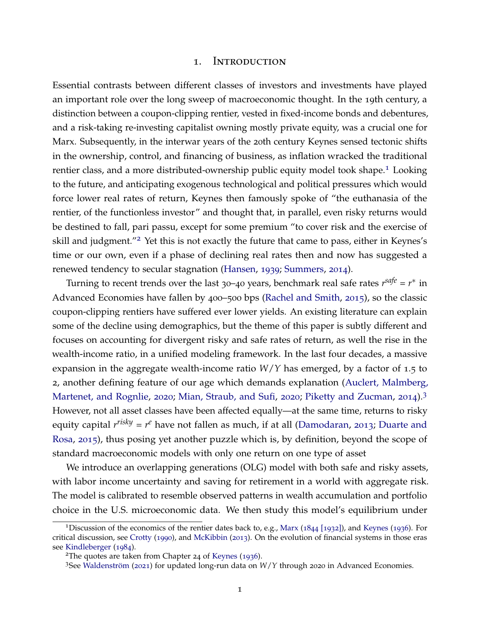#### 1. Introduction

Essential contrasts between different classes of investors and investments have played an important role over the long sweep of macroeconomic thought. In the 19th century, a distinction between a coupon-clipping rentier, vested in fixed-income bonds and debentures, and a risk-taking re-investing capitalist owning mostly private equity, was a crucial one for Marx. Subsequently, in the interwar years of the 20th century Keynes sensed tectonic shifts in the ownership, control, and financing of business, as inflation wracked the traditional rentier class, and a more distributed-ownership public equity model took shape.<sup>[1](#page-2-0)</sup> Looking to the future, and anticipating exogenous technological and political pressures which would force lower real rates of return, Keynes then famously spoke of "the euthanasia of the rentier, of the functionless investor" and thought that, in parallel, even risky returns would be destined to fall, pari passu, except for some premium "to cover risk and the exercise of skill and judgment."<sup>[2](#page-2-1)</sup> Yet this is not exactly the future that came to pass, either in Keynes's time or our own, even if a phase of declining real rates then and now has suggested a renewed tendency to secular stagnation [\(Hansen,](#page-43-0) [1939](#page-43-0); [Summers,](#page-45-0) [2014](#page-45-0)).

Turning to recent trends over the last 30–40 years, benchmark real safe rates  $r^{safe} = r^*$  in Advanced Economies have fallen by 400–500 bps [\(Rachel and Smith,](#page-45-1) [2015](#page-45-1)), so the classic coupon-clipping rentiers have suffered ever lower yields. An existing literature can explain some of the decline using demographics, but the theme of this paper is subtly different and focuses on accounting for divergent risky and safe rates of return, as well the rise in the wealth-income ratio, in a unified modeling framework. In the last four decades, a massive expansion in the aggregate wealth-income ratio *W*/*Y* has emerged, by a factor of 1.5 to 2, another defining feature of our age which demands explanation [\(Auclert, Malmberg,](#page-42-0) [Martenet, and Rognlie,](#page-42-0) [2020](#page-42-0); [Mian, Straub, and Sufi,](#page-44-0) [2020](#page-44-0); [Piketty and Zucman,](#page-45-2) [2014](#page-45-2)).[3](#page-2-2) However, not all asset classes have been affected equally—at the same time, returns to risky equity capital *r risky* = *r <sup>e</sup>* have not fallen as much, if at all [\(Damodaran,](#page-42-1) [2013](#page-42-1); [Duarte and](#page-43-1) [Rosa,](#page-43-1) [2015](#page-43-1)), thus posing yet another puzzle which is, by definition, beyond the scope of standard macroeconomic models with only one return on one type of asset

We introduce an overlapping generations (OLG) model with both safe and risky assets, with labor income uncertainty and saving for retirement in a world with aggregate risk. The model is calibrated to resemble observed patterns in wealth accumulation and portfolio choice in the U.S. microeconomic data. We then study this model's equilibrium under

<span id="page-2-0"></span><sup>1</sup>Discussion of the economics of the rentier dates back to, e.g., [Marx](#page-44-1) ([1844](#page-44-1) [1932]), and [Keynes](#page-44-2) ([1936](#page-44-2)). For critical discussion, see [Crotty](#page-42-2) ([1990](#page-42-2)), and [McKibbin](#page-44-3) ([2013](#page-44-3)). On the evolution of financial systems in those eras see [Kindleberger](#page-44-4) ([1984](#page-44-4)).

<span id="page-2-1"></span><sup>2</sup>The quotes are taken from Chapter <sup>24</sup> of [Keynes](#page-44-2) ([1936](#page-44-2)).

<span id="page-2-2"></span><sup>&</sup>lt;sup>3</sup>See Waldenström ([2021](#page-45-3)) for updated long-run data on *W*/*Y* through 2020 in Advanced Economies.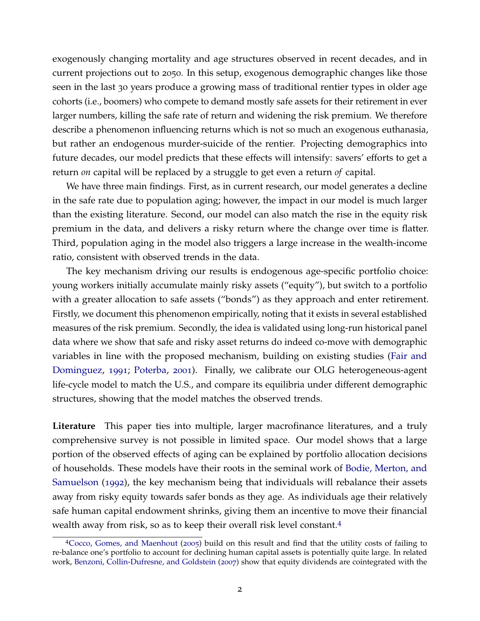exogenously changing mortality and age structures observed in recent decades, and in current projections out to 2050. In this setup, exogenous demographic changes like those seen in the last 30 years produce a growing mass of traditional rentier types in older age cohorts (i.e., boomers) who compete to demand mostly safe assets for their retirement in ever larger numbers, killing the safe rate of return and widening the risk premium. We therefore describe a phenomenon influencing returns which is not so much an exogenous euthanasia, but rather an endogenous murder-suicide of the rentier. Projecting demographics into future decades, our model predicts that these effects will intensify: savers' efforts to get a return *on* capital will be replaced by a struggle to get even a return *of* capital.

We have three main findings. First, as in current research, our model generates a decline in the safe rate due to population aging; however, the impact in our model is much larger than the existing literature. Second, our model can also match the rise in the equity risk premium in the data, and delivers a risky return where the change over time is flatter. Third, population aging in the model also triggers a large increase in the wealth-income ratio, consistent with observed trends in the data.

The key mechanism driving our results is endogenous age-specific portfolio choice: young workers initially accumulate mainly risky assets ("equity"), but switch to a portfolio with a greater allocation to safe assets ("bonds") as they approach and enter retirement. Firstly, we document this phenomenon empirically, noting that it exists in several established measures of the risk premium. Secondly, the idea is validated using long-run historical panel data where we show that safe and risky asset returns do indeed co-move with demographic variables in line with the proposed mechanism, building on existing studies [\(Fair and](#page-43-2) [Dominguez,](#page-43-2) [1991](#page-43-2); [Poterba,](#page-45-4) [2001](#page-45-4)). Finally, we calibrate our OLG heterogeneous-agent life-cycle model to match the U.S., and compare its equilibria under different demographic structures, showing that the model matches the observed trends.

**Literature** This paper ties into multiple, larger macrofinance literatures, and a truly comprehensive survey is not possible in limited space. Our model shows that a large portion of the observed effects of aging can be explained by portfolio allocation decisions of households. These models have their roots in the seminal work of [Bodie, Merton, and](#page-42-3) [Samuelson](#page-42-3) ([1992](#page-42-3)), the key mechanism being that individuals will rebalance their assets away from risky equity towards safer bonds as they age. As individuals age their relatively safe human capital endowment shrinks, giving them an incentive to move their financial wealth away from risk, so as to keep their overall risk level constant.[4](#page-3-0)

<span id="page-3-0"></span><sup>4</sup>[Cocco, Gomes, and Maenhout](#page-42-4) ([2005](#page-42-4)) build on this result and find that the utility costs of failing to re-balance one's portfolio to account for declining human capital assets is potentially quite large. In related work, [Benzoni, Collin-Dufresne, and Goldstein](#page-42-5) ([2007](#page-42-5)) show that equity dividends are cointegrated with the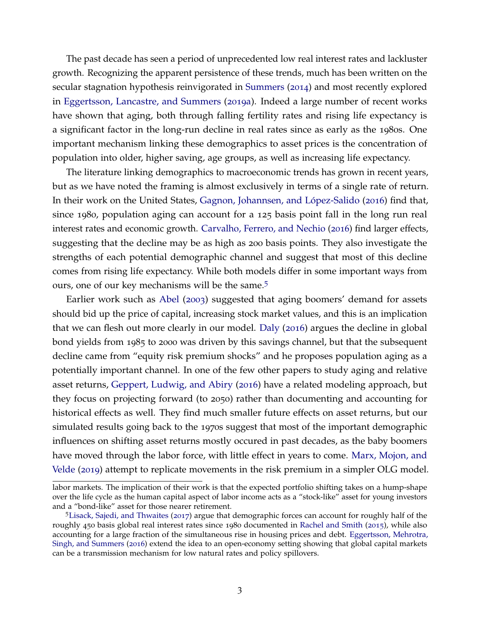The past decade has seen a period of unprecedented low real interest rates and lackluster growth. Recognizing the apparent persistence of these trends, much has been written on the secular stagnation hypothesis reinvigorated in [Summers](#page-45-0) ([2014](#page-45-0)) and most recently explored in [Eggertsson, Lancastre, and Summers](#page-43-3) ([2019](#page-43-3)a). Indeed a large number of recent works have shown that aging, both through falling fertility rates and rising life expectancy is a significant factor in the long-run decline in real rates since as early as the 1980s. One important mechanism linking these demographics to asset prices is the concentration of population into older, higher saving, age groups, as well as increasing life expectancy.

The literature linking demographics to macroeconomic trends has grown in recent years, but as we have noted the framing is almost exclusively in terms of a single rate of return. In their work on the United States, Gagnon, Johannsen, and López-Salido ([2016](#page-43-4)) find that, since 1980, population aging can account for a 125 basis point fall in the long run real interest rates and economic growth. [Carvalho, Ferrero, and Nechio](#page-42-6) ([2016](#page-42-6)) find larger effects, suggesting that the decline may be as high as 200 basis points. They also investigate the strengths of each potential demographic channel and suggest that most of this decline comes from rising life expectancy. While both models differ in some important ways from ours, one of our key mechanisms will be the same.<sup>[5](#page-4-0)</sup>

Earlier work such as [Abel](#page-42-7) ([2003](#page-42-7)) suggested that aging boomers' demand for assets should bid up the price of capital, increasing stock market values, and this is an implication that we can flesh out more clearly in our model. [Daly](#page-42-8) ([2016](#page-42-8)) argues the decline in global bond yields from 1985 to 2000 was driven by this savings channel, but that the subsequent decline came from "equity risk premium shocks" and he proposes population aging as a potentially important channel. In one of the few other papers to study aging and relative asset returns, [Geppert, Ludwig, and Abiry](#page-43-5) ([2016](#page-43-5)) have a related modeling approach, but they focus on projecting forward (to 2050) rather than documenting and accounting for historical effects as well. They find much smaller future effects on asset returns, but our simulated results going back to the 1970s suggest that most of the important demographic influences on shifting asset returns mostly occured in past decades, as the baby boomers have moved through the labor force, with little effect in years to come. [Marx, Mojon, and](#page-44-5) [Velde](#page-44-5) ([2019](#page-44-5)) attempt to replicate movements in the risk premium in a simpler OLG model.

labor markets. The implication of their work is that the expected portfolio shifting takes on a hump-shape over the life cycle as the human capital aspect of labor income acts as a "stock-like" asset for young investors and a "bond-like" asset for those nearer retirement.

<span id="page-4-0"></span><sup>5</sup>[Lisack, Sajedi, and Thwaites](#page-44-6) ([2017](#page-44-6)) argue that demographic forces can account for roughly half of the roughly 450 basis global real interest rates since 1980 documented in [Rachel and Smith](#page-45-1) ([2015](#page-45-1)), while also accounting for a large fraction of the simultaneous rise in housing prices and debt. [Eggertsson, Mehrotra,](#page-43-6) [Singh, and Summers](#page-43-6) ([2016](#page-43-6)) extend the idea to an open-economy setting showing that global capital markets can be a transmission mechanism for low natural rates and policy spillovers.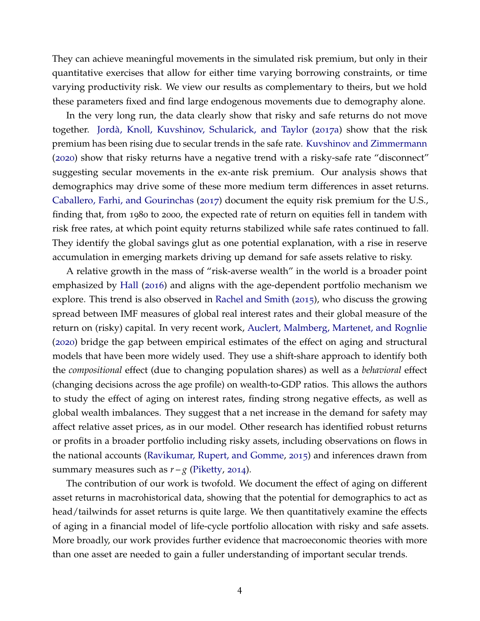They can achieve meaningful movements in the simulated risk premium, but only in their quantitative exercises that allow for either time varying borrowing constraints, or time varying productivity risk. We view our results as complementary to theirs, but we hold these parameters fixed and find large endogenous movements due to demography alone.

In the very long run, the data clearly show that risky and safe returns do not move together. Jordà, Knoll, Kuvshinov, Schularick, and Taylor ([2017](#page-44-7)a) show that the risk premium has been rising due to secular trends in the safe rate. [Kuvshinov and Zimmermann](#page-44-8) ([2020](#page-44-8)) show that risky returns have a negative trend with a risky-safe rate "disconnect" suggesting secular movements in the ex-ante risk premium. Our analysis shows that demographics may drive some of these more medium term differences in asset returns. [Caballero, Farhi, and Gourinchas](#page-42-9) ([2017](#page-42-9)) document the equity risk premium for the U.S., finding that, from 1980 to 2000, the expected rate of return on equities fell in tandem with risk free rates, at which point equity returns stabilized while safe rates continued to fall. They identify the global savings glut as one potential explanation, with a rise in reserve accumulation in emerging markets driving up demand for safe assets relative to risky.

A relative growth in the mass of "risk-averse wealth" in the world is a broader point emphasized by [Hall](#page-43-7) ([2016](#page-43-7)) and aligns with the age-dependent portfolio mechanism we explore. This trend is also observed in [Rachel and Smith](#page-45-1) ([2015](#page-45-1)), who discuss the growing spread between IMF measures of global real interest rates and their global measure of the return on (risky) capital. In very recent work, [Auclert, Malmberg, Martenet, and Rognlie](#page-42-0) ([2020](#page-42-0)) bridge the gap between empirical estimates of the effect on aging and structural models that have been more widely used. They use a shift-share approach to identify both the *compositional* effect (due to changing population shares) as well as a *behavioral* effect (changing decisions across the age profile) on wealth-to-GDP ratios. This allows the authors to study the effect of aging on interest rates, finding strong negative effects, as well as global wealth imbalances. They suggest that a net increase in the demand for safety may affect relative asset prices, as in our model. Other research has identified robust returns or profits in a broader portfolio including risky assets, including observations on flows in the national accounts [\(Ravikumar, Rupert, and Gomme,](#page-45-5) [2015](#page-45-5)) and inferences drawn from summary measures such as  $r-g$  [\(Piketty,](#page-44-9) [2014](#page-44-9)).

The contribution of our work is twofold. We document the effect of aging on different asset returns in macrohistorical data, showing that the potential for demographics to act as head/tailwinds for asset returns is quite large. We then quantitatively examine the effects of aging in a financial model of life-cycle portfolio allocation with risky and safe assets. More broadly, our work provides further evidence that macroeconomic theories with more than one asset are needed to gain a fuller understanding of important secular trends.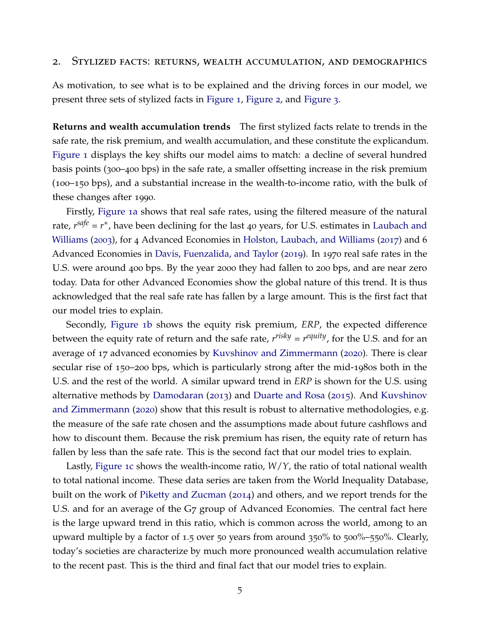#### 2. Stylized facts: returns, wealth accumulation, and demographics

As motivation, to see what is to be explained and the driving forces in our model, we present three sets of stylized facts in [Figure](#page-7-0) 1, [Figure](#page-7-1) 2, and [Figure](#page-8-0) 3.

**Returns and wealth accumulation trends** The first stylized facts relate to trends in the safe rate, the risk premium, and wealth accumulation, and these constitute the explicandum. [Figure](#page-7-0) 1 displays the key shifts our model aims to match: a decline of several hundred basis points (300–400 bps) in the safe rate, a smaller offsetting increase in the risk premium (100–150 bps), and a substantial increase in the wealth-to-income ratio, with the bulk of these changes after 1990.

Firstly, [Figure](#page-7-0) 1a shows that real safe rates, using the filtered measure of the natural rate*, r<sup>safe</sup>* = *r*<sup>\*</sup>, have been declining for the last 40 years, for U.S. estimates in [Laubach and](#page-44-10) [Williams](#page-44-10) ([2003](#page-44-10)), for 4 Advanced Economies in [Holston, Laubach, and Williams](#page-43-8) ([2017](#page-43-8)) and 6 Advanced Economies in [Davis, Fuenzalida, and Taylor](#page-42-10) ([2019](#page-42-10)). In 1970 real safe rates in the U.S. were around 400 bps. By the year 2000 they had fallen to 200 bps, and are near zero today. Data for other Advanced Economies show the global nature of this trend. It is thus acknowledged that the real safe rate has fallen by a large amount. This is the first fact that our model tries to explain.

Secondly, [Figure](#page-7-0) 1b shows the equity risk premium, *ERP*, the expected difference between the equity rate of return and the safe rate, *r risky* = *r equity*, for the U.S. and for an average of 17 advanced economies by [Kuvshinov and Zimmermann](#page-44-8) ([2020](#page-44-8)). There is clear secular rise of 150–200 bps, which is particularly strong after the mid-1980s both in the U.S. and the rest of the world. A similar upward trend in *ERP* is shown for the U.S. using alternative methods by [Damodaran](#page-42-1) ([2013](#page-42-1)) and [Duarte and Rosa](#page-43-1) ([2015](#page-43-1)). And [Kuvshinov](#page-44-8) [and Zimmermann](#page-44-8) ([2020](#page-44-8)) show that this result is robust to alternative methodologies, e.g. the measure of the safe rate chosen and the assumptions made about future cashflows and how to discount them. Because the risk premium has risen, the equity rate of return has fallen by less than the safe rate. This is the second fact that our model tries to explain.

Lastly, [Figure](#page-7-0) 1c shows the wealth-income ratio, *W*/*Y*, the ratio of total national wealth to total national income. These data series are taken from the World Inequality Database, built on the work of [Piketty and Zucman](#page-45-2) ([2014](#page-45-2)) and others, and we report trends for the U.S. and for an average of the G7 group of Advanced Economies. The central fact here is the large upward trend in this ratio, which is common across the world, among to an upward multiple by a factor of 1.5 over 50 years from around 350% to 500%–550%. Clearly, today's societies are characterize by much more pronounced wealth accumulation relative to the recent past. This is the third and final fact that our model tries to explain.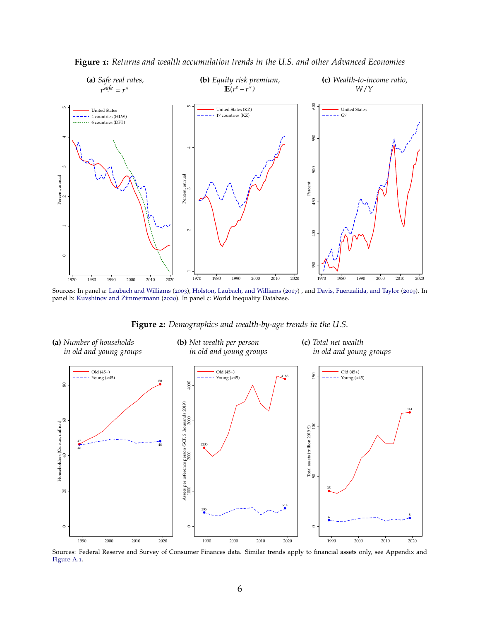<span id="page-7-0"></span>

**Figure 1:** *Returns and wealth accumulation trends in the U.S. and other Advanced Economies*

Sources: In panel a: [Laubach and Williams](#page-44-10) ([2003](#page-44-10)), [Holston, Laubach, and Williams](#page-43-8) ([2017](#page-43-8)) , and [Davis, Fuenzalida, and Taylor](#page-42-10) ([2019](#page-42-10)). In panel b: [Kuvshinov and Zimmermann](#page-44-8) ([2020](#page-44-8)). In panel c: World Inequality Database.

**Figure 2:** *Demographics and wealth-by-age trends in the U.S.*

<span id="page-7-1"></span>

Sources: Federal Reserve and Survey of Consumer Finances data. Similar trends apply to financial assets only, see Appendix and [Figure A.](#page-48-0)1.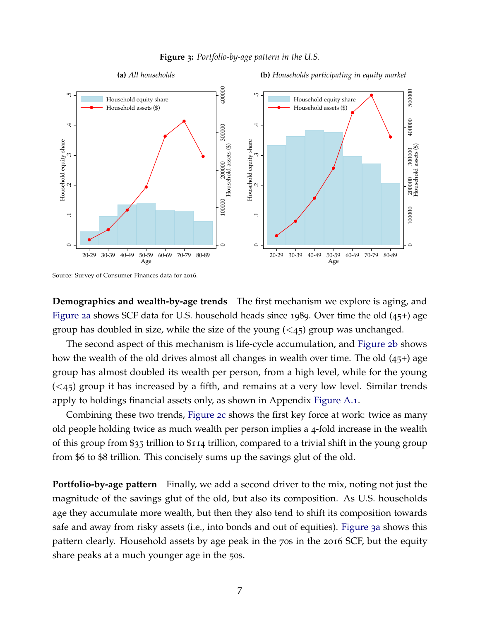

<span id="page-8-0"></span>

Source: Survey of Consumer Finances data for 2016.

**Demographics and wealth-by-age trends** The first mechanism we explore is aging, and [Figure](#page-7-1) 2a shows SCF data for U.S. household heads since 1989. Over time the old (45+) age group has doubled in size, while the size of the young  $( $45$ )$  group was unchanged.

The second aspect of this mechanism is life-cycle accumulation, and [Figure](#page-7-1) 2b shows how the wealth of the old drives almost all changes in wealth over time. The old (45+) age group has almost doubled its wealth per person, from a high level, while for the young  $( $45$ ) group it has increased by a fifth, and remains at a very low level. Similar trends$ apply to holdings financial assets only, as shown in Appendix [Figure A.](#page-48-0)1.

Combining these two trends, [Figure](#page-7-1) 2c shows the first key force at work: twice as many old people holding twice as much wealth per person implies a 4-fold increase in the wealth of this group from \$35 trillion to \$114 trillion, compared to a trivial shift in the young group from \$6 to \$8 trillion. This concisely sums up the savings glut of the old.

**Portfolio-by-age pattern** Finally, we add a second driver to the mix, noting not just the magnitude of the savings glut of the old, but also its composition. As U.S. households age they accumulate more wealth, but then they also tend to shift its composition towards safe and away from risky assets (i.e., into bonds and out of equities). [Figure](#page-8-0) 3a shows this pattern clearly. Household assets by age peak in the 70s in the 2016 SCF, but the equity share peaks at a much younger age in the 50s.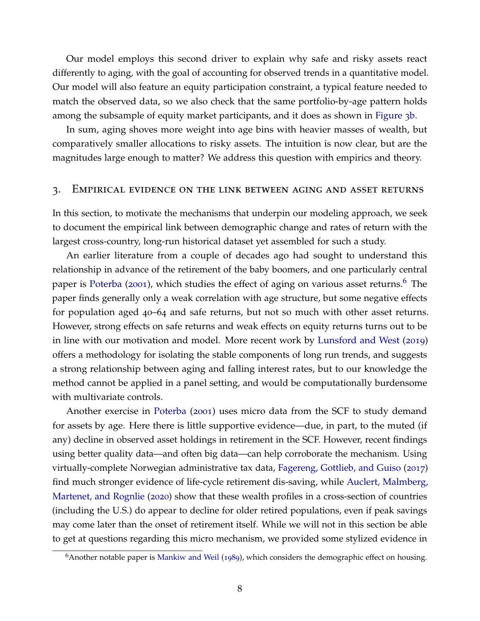Our model employs this second driver to explain why safe and risky assets react differently to aging, with the goal of accounting for observed trends in a quantitative model. Our model will also feature an equity participation constraint, a typical feature needed to match the observed data, so we also check that the same portfolio-by-age pattern holds among the subsample of equity market participants, and it does as shown in [Figure](#page-8-0) 3b.

In sum, aging shoves more weight into age bins with heavier masses of wealth, but comparatively smaller allocations to risky assets. The intuition is now clear, but are the magnitudes large enough to matter? We address this question with empirics and theory.

#### <span id="page-9-1"></span>3. Empirical evidence on the link between aging and asset returns

In this section, to motivate the mechanisms that underpin our modeling approach, we seek to document the empirical link between demographic change and rates of return with the largest cross-country, long-run historical dataset yet assembled for such a study.

An earlier literature from a couple of decades ago had sought to understand this relationship in advance of the retirement of the baby boomers, and one particularly central paper is [Poterba](#page-45-4) ([2001](#page-45-4)), which studies the effect of aging on various asset returns.<sup>[6](#page-9-0)</sup> The paper finds generally only a weak correlation with age structure, but some negative effects for population aged 40–64 and safe returns, but not so much with other asset returns. However, strong effects on safe returns and weak effects on equity returns turns out to be in line with our motivation and model. More recent work by [Lunsford and West](#page-44-11) ([2019](#page-44-11)) offers a methodology for isolating the stable components of long run trends, and suggests a strong relationship between aging and falling interest rates, but to our knowledge the method cannot be applied in a panel setting, and would be computationally burdensome with multivariate controls.

Another exercise in [Poterba](#page-45-4) ([2001](#page-45-4)) uses micro data from the SCF to study demand for assets by age. Here there is little supportive evidence—due, in part, to the muted (if any) decline in observed asset holdings in retirement in the SCF. However, recent findings using better quality data—and often big data—can help corroborate the mechanism. Using virtually-complete Norwegian administrative tax data, [Fagereng, Gottlieb, and Guiso](#page-43-9) ([2017](#page-43-9)) find much stronger evidence of life-cycle retirement dis-saving, while [Auclert, Malmberg,](#page-42-0) [Martenet, and Rognlie](#page-42-0) ([2020](#page-42-0)) show that these wealth profiles in a cross-section of countries (including the U.S.) do appear to decline for older retired populations, even if peak savings may come later than the onset of retirement itself. While we will not in this section be able to get at questions regarding this micro mechanism, we provided some stylized evidence in

<span id="page-9-0"></span> $6A$ nother notable paper is [Mankiw and Weil](#page-44-12) ([1989](#page-44-12)), which considers the demographic effect on housing.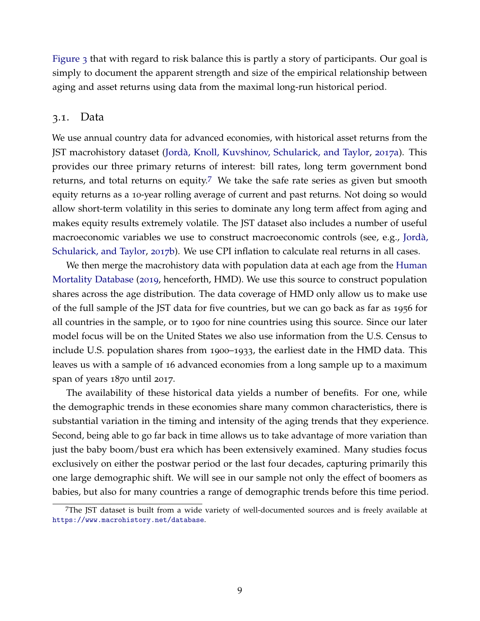[Figure](#page-8-0) 3 that with regard to risk balance this is partly a story of participants. Our goal is simply to document the apparent strength and size of the empirical relationship between aging and asset returns using data from the maximal long-run historical period.

#### 3.1. Data

We use annual country data for advanced economies, with historical asset returns from the JST macrohistory dataset (Jordà, Knoll, Kuvshinov, Schularick, and Taylor, [2017](#page-44-7)a). This provides our three primary returns of interest: bill rates, long term government bond returns, and total returns on equity.<sup>[7](#page-10-0)</sup> We take the safe rate series as given but smooth equity returns as a 10-year rolling average of current and past returns. Not doing so would allow short-term volatility in this series to dominate any long term affect from aging and makes equity results extremely volatile. The JST dataset also includes a number of useful macroeconomic variables we use to construct macroeconomic controls (see, e.g., [Jorda,](#page-44-13) ` [Schularick, and Taylor,](#page-44-13) [2017](#page-44-13)b). We use CPI inflation to calculate real returns in all cases.

We then merge the macrohistory data with population data at each age from the [Human](#page-43-10) [Mortality Database](#page-43-10) ([2019](#page-43-10), henceforth, HMD). We use this source to construct population shares across the age distribution. The data coverage of HMD only allow us to make use of the full sample of the JST data for five countries, but we can go back as far as 1956 for all countries in the sample, or to 1900 for nine countries using this source. Since our later model focus will be on the United States we also use information from the U.S. Census to include U.S. population shares from 1900–1933, the earliest date in the HMD data. This leaves us with a sample of 16 advanced economies from a long sample up to a maximum span of years 1870 until 2017.

The availability of these historical data yields a number of benefits. For one, while the demographic trends in these economies share many common characteristics, there is substantial variation in the timing and intensity of the aging trends that they experience. Second, being able to go far back in time allows us to take advantage of more variation than just the baby boom/bust era which has been extensively examined. Many studies focus exclusively on either the postwar period or the last four decades, capturing primarily this one large demographic shift. We will see in our sample not only the effect of boomers as babies, but also for many countries a range of demographic trends before this time period.

<span id="page-10-0"></span><sup>7</sup>The JST dataset is built from a wide variety of well-documented sources and is freely available at <https://www.macrohistory.net/database>.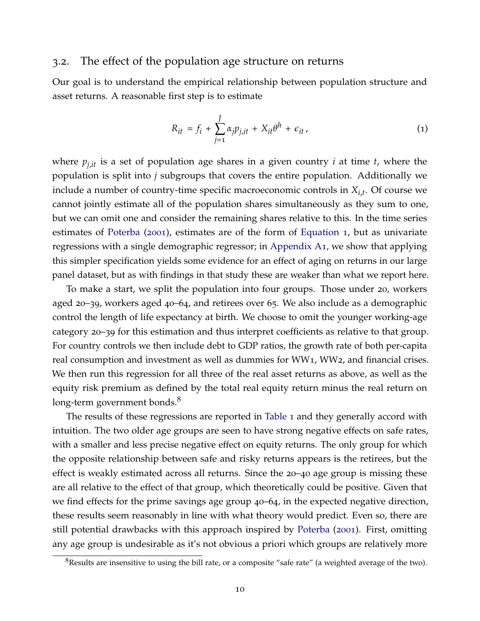# 3.2. The effect of the population age structure on returns

Our goal is to understand the empirical relationship between population structure and asset returns. A reasonable first step is to estimate

<span id="page-11-0"></span>
$$
R_{it} = f_i + \sum_{j=1}^{J} \alpha_j p_{j, it} + X_{it} \theta^h + \epsilon_{it} \,, \tag{1}
$$

where *pj*,*it* is a set of population age shares in a given country *i* at time *t*, where the population is split into *j* subgroups that covers the entire population. Additionally we include a number of country-time specific macroeconomic controls in *Xi*,*<sup>t</sup>* . Of course we cannot jointly estimate all of the population shares simultaneously as they sum to one, but we can omit one and consider the remaining shares relative to this. In the time series estimates of [Poterba](#page-45-4) ([2001](#page-45-4)), estimates are of the form of [Equation](#page-11-0) 1, but as univariate regressions with a single demographic regressor; in [Appendix A](#page-46-0)1, we show that applying this simpler specification yields some evidence for an effect of aging on returns in our large panel dataset, but as with findings in that study these are weaker than what we report here.

To make a start, we split the population into four groups. Those under 20, workers aged 20–39, workers aged 40–64, and retirees over 65. We also include as a demographic control the length of life expectancy at birth. We choose to omit the younger working-age category 20–39 for this estimation and thus interpret coefficients as relative to that group. For country controls we then include debt to GDP ratios, the growth rate of both per-capita real consumption and investment as well as dummies for WW1, WW2, and financial crises. We then run this regression for all three of the real asset returns as above, as well as the equity risk premium as defined by the total real equity return minus the real return on long-term government bonds. $\delta$ 

The results of these regressions are reported in [Table](#page-12-0) 1 and they generally accord with intuition. The two older age groups are seen to have strong negative effects on safe rates, with a smaller and less precise negative effect on equity returns. The only group for which the opposite relationship between safe and risky returns appears is the retirees, but the effect is weakly estimated across all returns. Since the 20–40 age group is missing these are all relative to the effect of that group, which theoretically could be positive. Given that we find effects for the prime savings age group 40–64, in the expected negative direction, these results seem reasonably in line with what theory would predict. Even so, there are still potential drawbacks with this approach inspired by [Poterba](#page-45-4) ([2001](#page-45-4)). First, omitting any age group is undesirable as it's not obvious a priori which groups are relatively more

<span id="page-11-1"></span><sup>&</sup>lt;sup>8</sup>Results are insensitive to using the bill rate, or a composite "safe rate" (a weighted average of the two).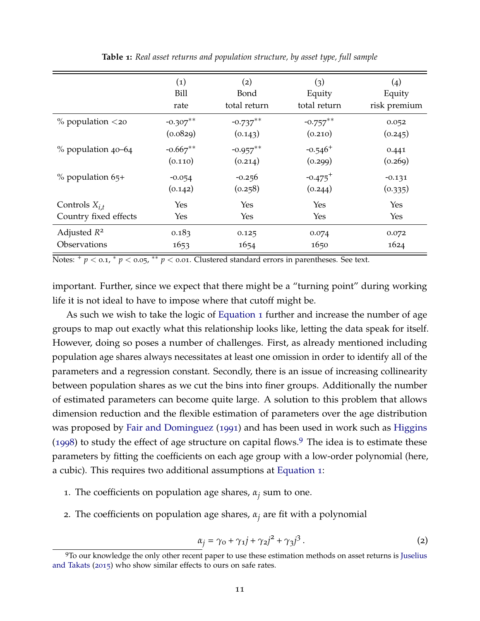<span id="page-12-0"></span>

|                          | (1)        | (2)          | (3)                   | (4)          |
|--------------------------|------------|--------------|-----------------------|--------------|
|                          | Bill       | Bond         | Equity                | Equity       |
|                          | rate       | total return | total return          | risk premium |
| $\%$ population $\lt$ 20 | $-0.307**$ | $-0.737***$  | $-0.757***$           | 0.052        |
|                          | (0.0829)   | (0.143)      | (0.210)               | (0.245)      |
| % population 40–64       | $-0.667**$ | $-0.957***$  | $-0.546$ <sup>+</sup> | 0.441        |
|                          | (0.110)    | (0.214)      | (0.299)               | (0.269)      |
| $\%$ population 65+      | $-0.054$   | $-0.256$     | $-0.475$ <sup>+</sup> | $-0.131$     |
|                          | (0.142)    | (0.258)      | (0.244)               | (0.335)      |
| Controls $X_{i,t}$       | Yes        | Yes          | Yes                   | Yes          |
| Country fixed effects    | Yes        | Yes          | Yes                   | Yes          |
| Adjusted $R^2$           | 0.183      | 0.125        | 0.074                 | 0.072        |
| Observations             | 1653       | 1654         | 1650                  | 1624         |

**Table 1:** *Real asset returns and population structure, by asset type, full sample*

Notes:  $^+p <$  0.1,  $^*p <$  0.05,  $^{**}p <$  0.01. Clustered standard errors in parentheses. See text.

important. Further, since we expect that there might be a "turning point" during working life it is not ideal to have to impose where that cutoff might be.

As such we wish to take the logic of [Equation](#page-11-0) 1 further and increase the number of age groups to map out exactly what this relationship looks like, letting the data speak for itself. However, doing so poses a number of challenges. First, as already mentioned including population age shares always necessitates at least one omission in order to identify all of the parameters and a regression constant. Secondly, there is an issue of increasing collinearity between population shares as we cut the bins into finer groups. Additionally the number of estimated parameters can become quite large. A solution to this problem that allows dimension reduction and the flexible estimation of parameters over the age distribution was proposed by [Fair and Dominguez](#page-43-2) ([1991](#page-43-2)) and has been used in work such as [Higgins](#page-43-11) ([1998](#page-43-11)) to study the effect of age structure on capital flows.<sup>[9](#page-12-1)</sup> The idea is to estimate these parameters by fitting the coefficients on each age group with a low-order polynomial (here, a cubic). This requires two additional assumptions at [Equation](#page-11-0) 1:

- 1. The coefficients on population age shares,  $\alpha_j$  sum to one.
- <sup>2</sup>. The coefficients on population age shares, *<sup>α</sup><sup>j</sup>* are fit with a polynomial

<span id="page-12-2"></span>
$$
\alpha_j = \gamma_0 + \gamma_1 j + \gamma_2 j^2 + \gamma_3 j^3. \tag{2}
$$

<span id="page-12-1"></span><sup>9</sup>To our knowledge the only other recent paper to use these estimation methods on asset returns is [Juselius](#page-44-14) [and Takats](#page-44-14) ([2015](#page-44-14)) who show similar effects to ours on safe rates.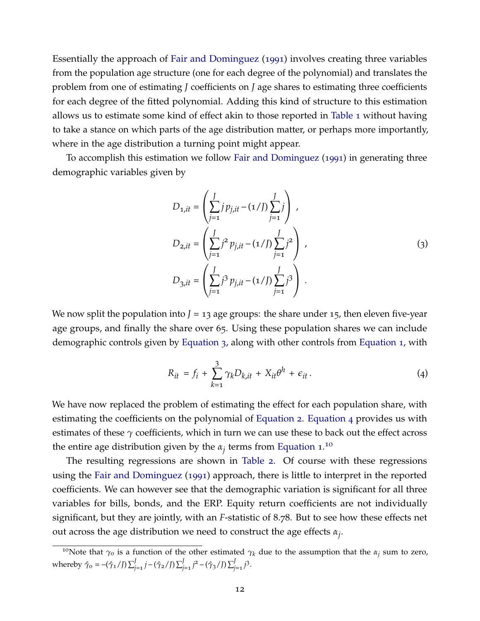Essentially the approach of [Fair and Dominguez](#page-43-2) ([1991](#page-43-2)) involves creating three variables from the population age structure (one for each degree of the polynomial) and translates the problem from one of estimating *J* coefficients on *J* age shares to estimating three coefficients for each degree of the fitted polynomial. Adding this kind of structure to this estimation allows us to estimate some kind of effect akin to those reported in [Table](#page-12-0) 1 without having to take a stance on which parts of the age distribution matter, or perhaps more importantly, where in the age distribution a turning point might appear.

To accomplish this estimation we follow [Fair and Dominguez](#page-43-2) ([1991](#page-43-2)) in generating three demographic variables given by

$$
D_{1,it} = \left(\sum_{j=1}^{J} j p_{j,it} - (1/J) \sum_{j=1}^{J} j\right),
$$
  
\n
$$
D_{2,it} = \left(\sum_{j=1}^{J} j^2 p_{j,it} - (1/J) \sum_{j=1}^{J} j^2\right),
$$
  
\n
$$
D_{3,it} = \left(\sum_{j=1}^{J} j^3 p_{j,it} - (1/J) \sum_{j=1}^{J} j^3\right).
$$
\n(3)

<span id="page-13-0"></span>We now split the population into  $J = 13$  age groups: the share under 15, then eleven five-year age groups, and finally the share over 65. Using these population shares we can include demographic controls given by [Equation](#page-13-0) 3, along with other controls from [Equation](#page-11-0) 1, with

<span id="page-13-1"></span>
$$
R_{it} = f_i + \sum_{k=1}^{3} \gamma_k D_{k, it} + X_{it} \theta^h + \epsilon_{it}.
$$
 (4)

We have now replaced the problem of estimating the effect for each population share, with estimating the coefficients on the polynomial of [Equation](#page-12-2) 2. [Equation](#page-13-1) 4 provides us with estimates of these  $\gamma$  coefficients, which in turn we can use these to back out the effect across the entire age distribution given by the  $\alpha_j$  terms from [Equation](#page-11-0) 1.<sup>[10](#page-13-2)</sup>

The resulting regressions are shown in [Table](#page-14-0) 2. Of course with these regressions using the [Fair and Dominguez](#page-43-2) ([1991](#page-43-2)) approach, there is little to interpret in the reported coefficients. We can however see that the demographic variation is significant for all three variables for bills, bonds, and the ERP. Equity return coefficients are not individually significant, but they are jointly, with an *F*-statistic of 8.78. But to see how these effects net out across the age distribution we need to construct the age effects *α<sup>j</sup>* .

<span id="page-13-2"></span><sup>&</sup>lt;sup>10</sup>Note that  $\gamma_0$  is a function of the other estimated  $\gamma_k$  due to the assumption that the  $\alpha_j$  sum to zero, whereby  $\hat{\gamma}_0 = -(\hat{\gamma}_1 / J) \sum_{j=1}^J j - (\hat{\gamma}_2 / J) \sum_{j=1}^J j^2 - (\hat{\gamma}_3 / J) \sum_{j=1}^J j^3$ .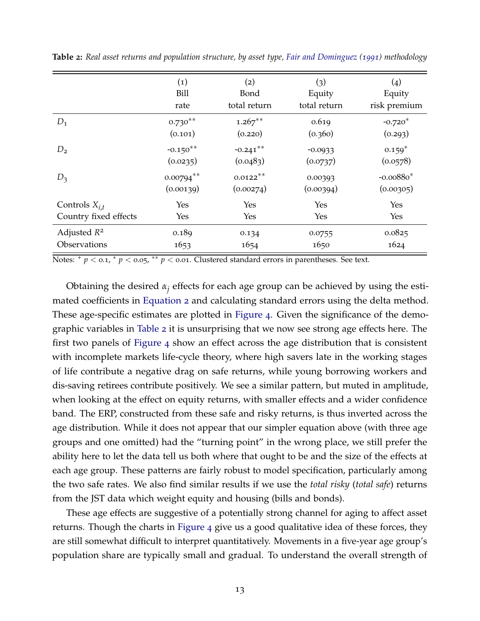|                       | $\left( 1\right)$ | (2)          | (3)          | $\left( 4 \right)$ |
|-----------------------|-------------------|--------------|--------------|--------------------|
|                       | <b>Bill</b>       | Bond         | Equity       | Equity             |
|                       | rate              | total return | total return | risk premium       |
| $D_1$                 | $0.730***$        | $1.267**$    | 0.619        | $-0.720*$          |
|                       | (0.101)           | (0.220)      | (0.360)      | (0.293)            |
| $D_2$                 | $-0.150**$        | $-0.241***$  | $-0.0933$    | $0.159*$           |
|                       | (0.0235)          | (0.0483)     | (0.0737)     | (0.0578)           |
| $D_3$                 | $0.00794***$      | $0.0122**$   | 0.00393      | $-0.00880*$        |
|                       | (0.00139)         | (0.00274)    | (0.00394)    | (0.00305)          |
| Controls $X_{i,t}$    | Yes               | Yes          | Yes          | Yes                |
| Country fixed effects | Yes               | <b>Yes</b>   | Yes          | Yes                |
| Adjusted $R^2$        | 0.189             | 0.134        | 0.0755       | 0.0825             |
| Observations          | 1653              | 1654         | 1650         | 1624               |

<span id="page-14-0"></span>**Table 2:** *Real asset returns and population structure, by asset type, [Fair and Dominguez](#page-43-2) ([1991](#page-43-2)) methodology*

Notes:  $^+p <$  0.1,  $^*p <$  0.05,  $^{**}p <$  0.01. Clustered standard errors in parentheses. See text.

Obtaining the desired *α<sup>j</sup>* effects for each age group can be achieved by using the estimated coefficients in [Equation](#page-12-2) 2 and calculating standard errors using the delta method. These age-specific estimates are plotted in [Figure](#page-15-0) 4. Given the significance of the demographic variables in [Table](#page-14-0) 2 it is unsurprising that we now see strong age effects here. The first two panels of [Figure](#page-15-0) 4 show an effect across the age distribution that is consistent with incomplete markets life-cycle theory, where high savers late in the working stages of life contribute a negative drag on safe returns, while young borrowing workers and dis-saving retirees contribute positively. We see a similar pattern, but muted in amplitude, when looking at the effect on equity returns, with smaller effects and a wider confidence band. The ERP, constructed from these safe and risky returns, is thus inverted across the age distribution. While it does not appear that our simpler equation above (with three age groups and one omitted) had the "turning point" in the wrong place, we still prefer the ability here to let the data tell us both where that ought to be and the size of the effects at each age group. These patterns are fairly robust to model specification, particularly among the two safe rates. We also find similar results if we use the *total risky* (*total safe*) returns from the JST data which weight equity and housing (bills and bonds).

These age effects are suggestive of a potentially strong channel for aging to affect asset returns. Though the charts in [Figure](#page-15-0) 4 give us a good qualitative idea of these forces, they are still somewhat difficult to interpret quantitatively. Movements in a five-year age group's population share are typically small and gradual. To understand the overall strength of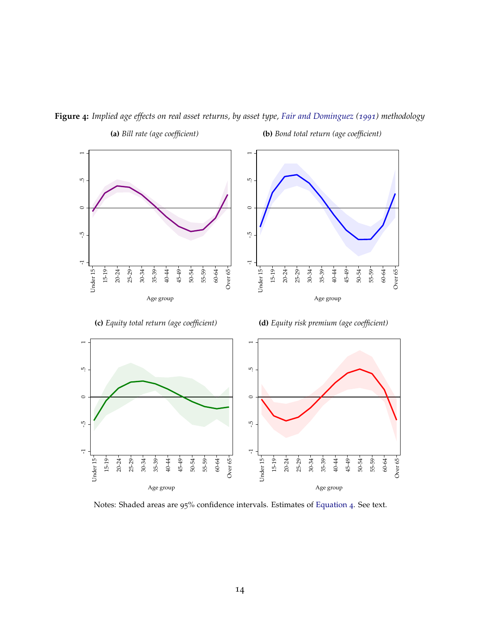

<span id="page-15-0"></span>**Figure 4:** *Implied age effects on real asset returns, by asset type, [Fair and Dominguez](#page-43-2) ([1991](#page-43-2)) methodology*

**(a)** *Bill rate (age coefficient)*

Under 15 15-19 20-24 25-29 30-34 35-39 40-44 45-49 50-54 55-59 60-64

Under 15-

Age group

**(b)** *Bond total return (age coefficient)*

Notes: Shaded areas are 95% confidence intervals. Estimates of [Equation](#page-13-1) 4. See text.

Under 15

Under 15-

20-24 25-29 30-34 35-39 40-44 45-49 50-54 55-59 60-64 Over 65

Age group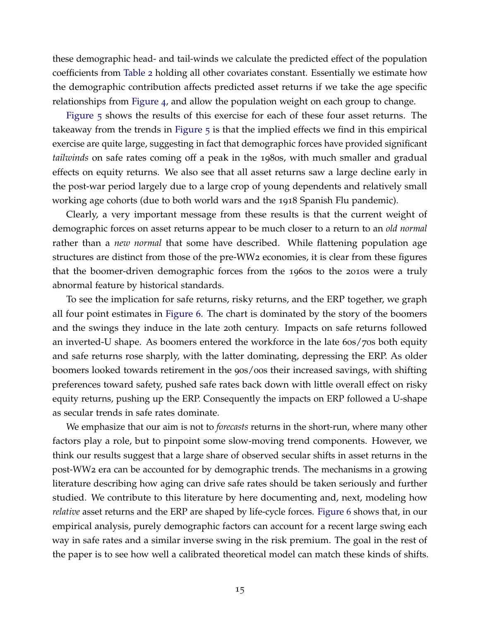these demographic head- and tail-winds we calculate the predicted effect of the population coefficients from [Table](#page-14-0) 2 holding all other covariates constant. Essentially we estimate how the demographic contribution affects predicted asset returns if we take the age specific relationships from [Figure](#page-15-0) 4, and allow the population weight on each group to change.

[Figure](#page-17-0) 5 shows the results of this exercise for each of these four asset returns. The takeaway from the trends in [Figure](#page-17-0) 5 is that the implied effects we find in this empirical exercise are quite large, suggesting in fact that demographic forces have provided significant *tailwinds* on safe rates coming off a peak in the 1980s, with much smaller and gradual effects on equity returns. We also see that all asset returns saw a large decline early in the post-war period largely due to a large crop of young dependents and relatively small working age cohorts (due to both world wars and the 1918 Spanish Flu pandemic).

Clearly, a very important message from these results is that the current weight of demographic forces on asset returns appear to be much closer to a return to an *old normal* rather than a *new normal* that some have described. While flattening population age structures are distinct from those of the pre-WW2 economies, it is clear from these figures that the boomer-driven demographic forces from the 1960s to the 2010s were a truly abnormal feature by historical standards.

To see the implication for safe returns, risky returns, and the ERP together, we graph all four point estimates in [Figure](#page-18-0) 6. The chart is dominated by the story of the boomers and the swings they induce in the late 20th century. Impacts on safe returns followed an inverted-U shape. As boomers entered the workforce in the late 60s/70s both equity and safe returns rose sharply, with the latter dominating, depressing the ERP. As older boomers looked towards retirement in the 90s/00s their increased savings, with shifting preferences toward safety, pushed safe rates back down with little overall effect on risky equity returns, pushing up the ERP. Consequently the impacts on ERP followed a U-shape as secular trends in safe rates dominate.

We emphasize that our aim is not to *forecasts* returns in the short-run, where many other factors play a role, but to pinpoint some slow-moving trend components. However, we think our results suggest that a large share of observed secular shifts in asset returns in the post-WW2 era can be accounted for by demographic trends. The mechanisms in a growing literature describing how aging can drive safe rates should be taken seriously and further studied. We contribute to this literature by here documenting and, next, modeling how *relative* asset returns and the ERP are shaped by life-cycle forces. [Figure](#page-18-0) 6 shows that, in our empirical analysis, purely demographic factors can account for a recent large swing each way in safe rates and a similar inverse swing in the risk premium. The goal in the rest of the paper is to see how well a calibrated theoretical model can match these kinds of shifts.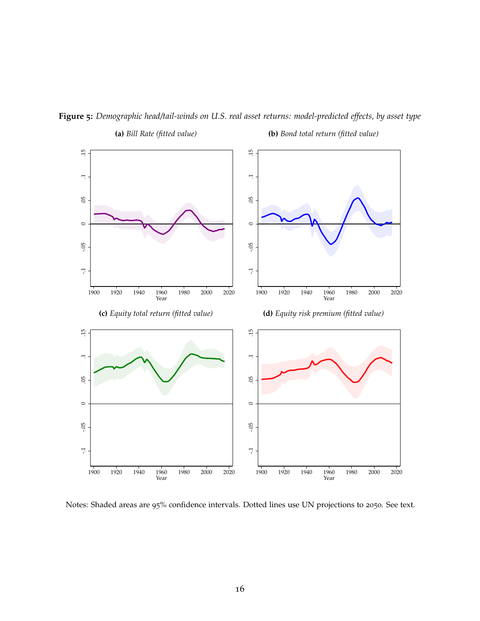

<span id="page-17-0"></span>**Figure 5:** *Demographic head/tail-winds on U.S. real asset returns: model-predicted effects, by asset type* **(a)** *Bill Rate (fitted value)* **(b)** *Bond total return (fitted value)*

Notes: Shaded areas are 95% confidence intervals. Dotted lines use UN projections to 2050. See text.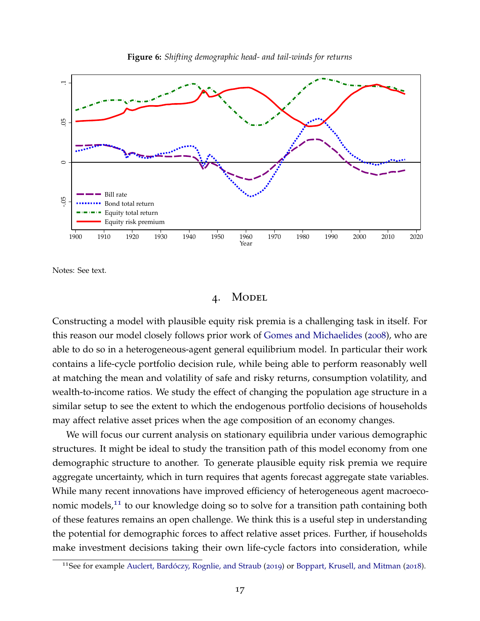<span id="page-18-0"></span>



Notes: See text.

## 4. Model

Constructing a model with plausible equity risk premia is a challenging task in itself. For this reason our model closely follows prior work of [Gomes and Michaelides](#page-43-12) ([2008](#page-43-12)), who are able to do so in a heterogeneous-agent general equilibrium model. In particular their work contains a life-cycle portfolio decision rule, while being able to perform reasonably well at matching the mean and volatility of safe and risky returns, consumption volatility, and wealth-to-income ratios. We study the effect of changing the population age structure in a similar setup to see the extent to which the endogenous portfolio decisions of households may affect relative asset prices when the age composition of an economy changes.

We will focus our current analysis on stationary equilibria under various demographic structures. It might be ideal to study the transition path of this model economy from one demographic structure to another. To generate plausible equity risk premia we require aggregate uncertainty, which in turn requires that agents forecast aggregate state variables. While many recent innovations have improved efficiency of heterogeneous agent macroeco-nomic models,<sup>[11](#page-18-1)</sup> to our knowledge doing so to solve for a transition path containing both of these features remains an open challenge. We think this is a useful step in understanding the potential for demographic forces to affect relative asset prices. Further, if households make investment decisions taking their own life-cycle factors into consideration, while

<span id="page-18-1"></span><sup>&</sup>lt;sup>11</sup>See for example [Auclert, Bardoczy, Rognlie, and Straub](#page-42-11) ([2019](#page-42-11)) or [Boppart, Krusell, and Mitman](#page-42-12) ([2018](#page-42-12)).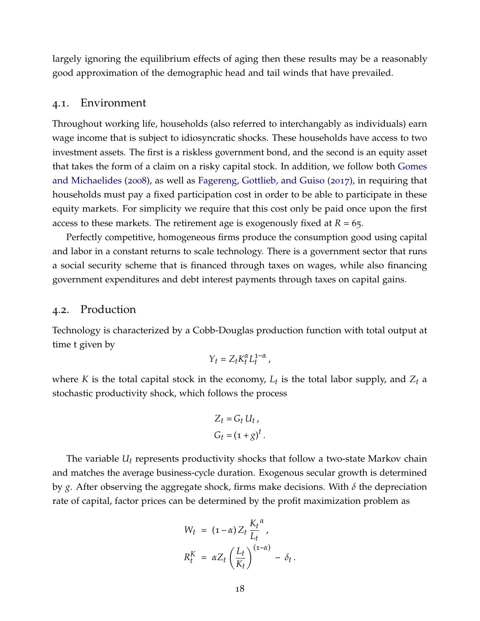largely ignoring the equilibrium effects of aging then these results may be a reasonably good approximation of the demographic head and tail winds that have prevailed.

## 4.1. Environment

Throughout working life, households (also referred to interchangably as individuals) earn wage income that is subject to idiosyncratic shocks. These households have access to two investment assets. The first is a riskless government bond, and the second is an equity asset that takes the form of a claim on a risky capital stock. In addition, we follow both [Gomes](#page-43-12) [and Michaelides](#page-43-12) ([2008](#page-43-12)), as well as [Fagereng, Gottlieb, and Guiso](#page-43-9) ([2017](#page-43-9)), in requiring that households must pay a fixed participation cost in order to be able to participate in these equity markets. For simplicity we require that this cost only be paid once upon the first access to these markets. The retirement age is exogenously fixed at *R* = 65.

Perfectly competitive, homogeneous firms produce the consumption good using capital and labor in a constant returns to scale technology. There is a government sector that runs a social security scheme that is financed through taxes on wages, while also financing government expenditures and debt interest payments through taxes on capital gains.

## 4.2. Production

Technology is characterized by a Cobb-Douglas production function with total output at time t given by

$$
Y_t = Z_t K_t^{\alpha} L_t^{1-\alpha},
$$

where *K* is the total capital stock in the economy, *Lt* is the total labor supply, and *Zt* a stochastic productivity shock, which follows the process

$$
Z_t = G_t U_t,
$$
  

$$
G_t = (1 + g)^t.
$$

The variable *Ut* represents productivity shocks that follow a two-state Markov chain and matches the average business-cycle duration. Exogenous secular growth is determined by *g*. After observing the aggregate shock, firms make decisions. With *δ* the depreciation rate of capital, factor prices can be determined by the profit maximization problem as

$$
W_t = (1 - \alpha) Z_t \frac{K_t^{\alpha}}{L_t},
$$
  

$$
R_t^K = \alpha Z_t \left(\frac{L_t}{K_t}\right)^{(1 - \alpha)} - \delta_t.
$$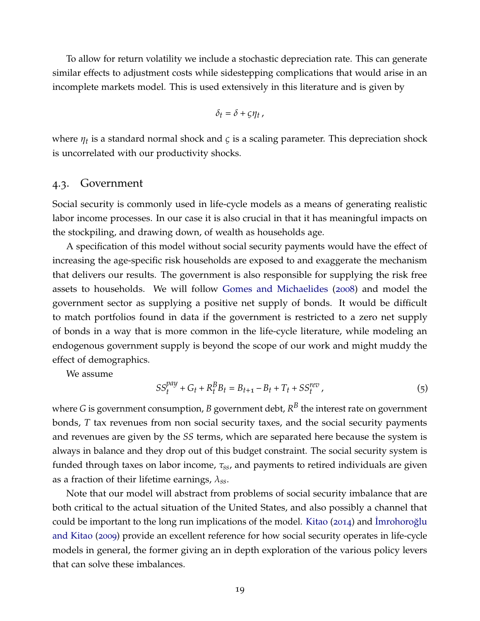To allow for return volatility we include a stochastic depreciation rate. This can generate similar effects to adjustment costs while sidestepping complications that would arise in an incomplete markets model. This is used extensively in this literature and is given by

$$
\delta_t = \delta + \varsigma \eta_t,
$$

where *ηt* is a standard normal shock and *ς* is a scaling parameter. This depreciation shock is uncorrelated with our productivity shocks.

#### 4.3. Government

Social security is commonly used in life-cycle models as a means of generating realistic labor income processes. In our case it is also crucial in that it has meaningful impacts on the stockpiling, and drawing down, of wealth as households age.

A specification of this model without social security payments would have the effect of increasing the age-specific risk households are exposed to and exaggerate the mechanism that delivers our results. The government is also responsible for supplying the risk free assets to households. We will follow [Gomes and Michaelides](#page-43-12) ([2008](#page-43-12)) and model the government sector as supplying a positive net supply of bonds. It would be difficult to match portfolios found in data if the government is restricted to a zero net supply of bonds in a way that is more common in the life-cycle literature, while modeling an endogenous government supply is beyond the scope of our work and might muddy the effect of demographics.

We assume

$$
SS_t^{pay} + G_t + R_t^B B_t = B_{t+1} - B_t + T_t + SS_t^{rev},
$$
\n(5)

where  $G$  is government consumption*, B* government debt*, R* $^B$  the interest rate on government bonds, *T* tax revenues from non social security taxes, and the social security payments and revenues are given by the *SS* terms, which are separated here because the system is always in balance and they drop out of this budget constraint. The social security system is funded through taxes on labor income, *τss*, and payments to retired individuals are given as a fraction of their lifetime earnings, *λss*.

Note that our model will abstract from problems of social security imbalance that are both critical to the actual situation of the United States, and also possibly a channel that could be important to the long run implications of the model. [Kitao](#page-44-15) ([2014](#page-44-15)) and  $\overline{\text{Imrobor}}$ [and Kitao](#page-44-16) ([2009](#page-44-16)) provide an excellent reference for how social security operates in life-cycle models in general, the former giving an in depth exploration of the various policy levers that can solve these imbalances.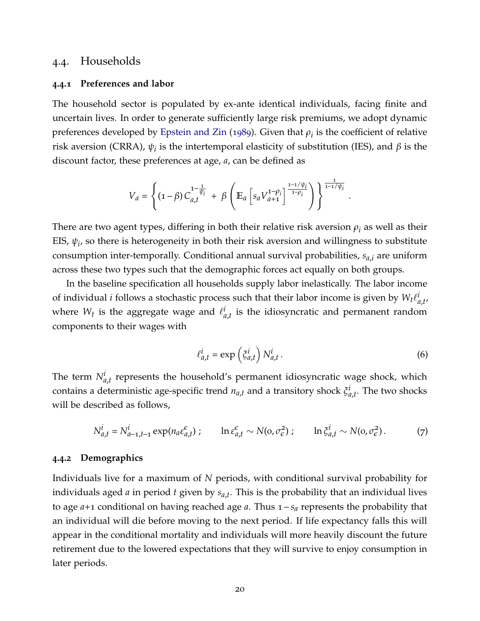# 4.4. Households

#### **4.4.1 Preferences and labor**

The household sector is populated by ex-ante identical individuals, facing finite and uncertain lives. In order to generate sufficiently large risk premiums, we adopt dynamic preferences developed by [Epstein and Zin](#page-43-13) ([1989](#page-43-13)). Given that  $\rho_i$  is the coefficient of relative risk aversion (CRRA),  $ψ<sub>i</sub>$  is the intertemporal elasticity of substitution (IES), and  $β$  is the discount factor, these preferences at age, *a*, can be defined as

$$
V_a = \left\{ \left( \mathbf{1} - \beta \right) C_{a,t}^{\mathbf{1} - \frac{1}{\psi_i}} + \beta \left( \mathbb{E}_a \left[ s_a V_{a+1}^{\mathbf{1} - \rho_i} \right]^\frac{\mathbf{1} - \mathbf{1} / \psi_i}{\mathbf{1} - \rho_i} \right) \right\}^{\frac{1}{\mathbf{1} - \mathbf{1} / \psi_i}}
$$

There are two agent types, differing in both their relative risk aversion  $\rho_i$  as well as their EIS,  $\psi_i$ , so there is heterogeneity in both their risk aversion and willingness to substitute consumption inter-temporally. Conditional annual survival probabilities, *sa*,*<sup>i</sup>* are uniform across these two types such that the demographic forces act equally on both groups.

In the baseline specification all households supply labor inelastically. The labor income of individual *i* follows a stochastic process such that their labor income is given by  $W_t \ell^i_a$ *a*,*t* , where  $W_t$  is the aggregate wage and  $\ell^i_a$  $\mathbf{a}_{a,t}^{a}$  is the idiosyncratic and permanent random components to their wages with

$$
\ell_{a,t}^i = \exp\left(\xi_{a,t}^i\right) N_{a,t}^i.
$$
\n(6)

.

The term  $N^i_{a,t}$  represents the household's permanent idiosyncratic wage shock, which contains a deterministic age-specific trend *na*,*t* and a transitory shock *ξ i a*,*t* . The two shocks will be described as follows,

$$
N_{a,t}^i = N_{a-1,t-1}^i \exp(n_a \varepsilon_{a,t}^\varepsilon); \qquad \ln \varepsilon_{a,t}^\varepsilon \sim N(o, \sigma_\varepsilon^2); \qquad \ln \zeta_{a,t}^i \sim N(o, \sigma_\varepsilon^2). \tag{7}
$$

#### **4.4.2 Demographics**

Individuals live for a maximum of *N* periods, with conditional survival probability for individuals aged *a* in period *t* given by *sa*,*t* . This is the probability that an individual lives to age *a*+1 conditional on having reached age *a*. Thus 1 – *s<sup>a</sup>* represents the probability that an individual will die before moving to the next period. If life expectancy falls this will appear in the conditional mortality and individuals will more heavily discount the future retirement due to the lowered expectations that they will survive to enjoy consumption in later periods.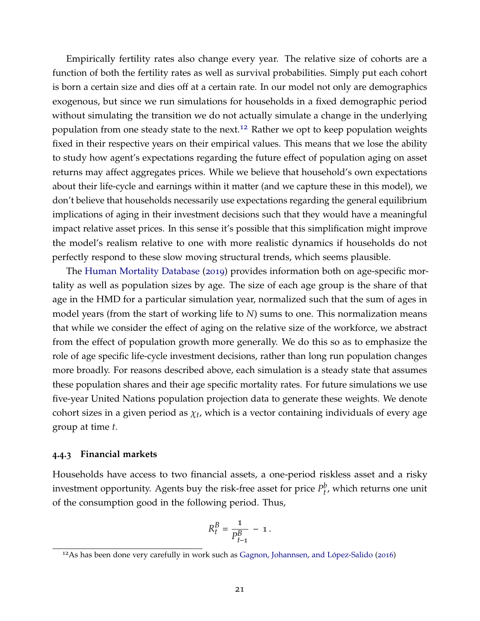Empirically fertility rates also change every year. The relative size of cohorts are a function of both the fertility rates as well as survival probabilities. Simply put each cohort is born a certain size and dies off at a certain rate. In our model not only are demographics exogenous, but since we run simulations for households in a fixed demographic period without simulating the transition we do not actually simulate a change in the underlying population from one steady state to the next.<sup>[12](#page-22-0)</sup> Rather we opt to keep population weights fixed in their respective years on their empirical values. This means that we lose the ability to study how agent's expectations regarding the future effect of population aging on asset returns may affect aggregates prices. While we believe that household's own expectations about their life-cycle and earnings within it matter (and we capture these in this model), we don't believe that households necessarily use expectations regarding the general equilibrium implications of aging in their investment decisions such that they would have a meaningful impact relative asset prices. In this sense it's possible that this simplification might improve the model's realism relative to one with more realistic dynamics if households do not perfectly respond to these slow moving structural trends, which seems plausible.

The [Human Mortality Database](#page-43-10) ([2019](#page-43-10)) provides information both on age-specific mortality as well as population sizes by age. The size of each age group is the share of that age in the HMD for a particular simulation year, normalized such that the sum of ages in model years (from the start of working life to *N*) sums to one. This normalization means that while we consider the effect of aging on the relative size of the workforce, we abstract from the effect of population growth more generally. We do this so as to emphasize the role of age specific life-cycle investment decisions, rather than long run population changes more broadly. For reasons described above, each simulation is a steady state that assumes these population shares and their age specific mortality rates. For future simulations we use five-year United Nations population projection data to generate these weights. We denote cohort sizes in a given period as  $\chi_{t}$ , which is a vector containing individuals of every age group at time *t*.

#### **4.4.3 Financial markets**

Households have access to two financial assets, a one-period riskless asset and a risky investment opportunity. Agents buy the risk-free asset for price  $P_t^b$ *t* , which returns one unit of the consumption good in the following period. Thus,

$$
R_t^B = \frac{1}{P_{t-1}^B} - 1.
$$

<span id="page-22-0"></span> $12$ As has been done very carefully in work such as Gagnon, Johannsen, and López-Salido ([2016](#page-43-4))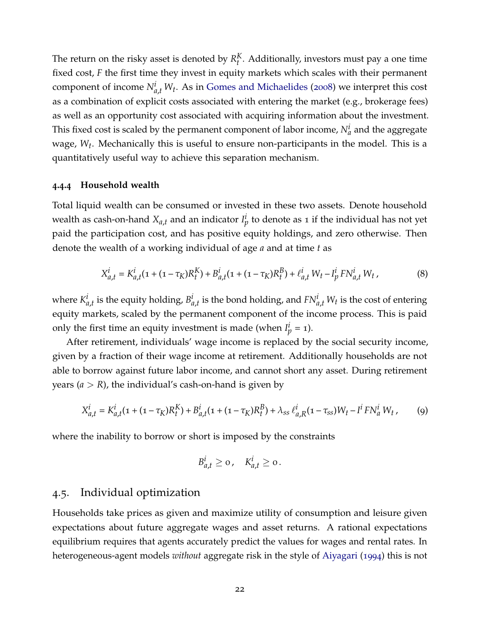The return on the risky asset is denoted by  $R_t^K$  $t<sup>k</sup>$ . Additionally, investors must pay a one time fixed cost, *F* the first time they invest in equity markets which scales with their permanent component of income  $N_{a,t}^i W_t$ . As in [Gomes and Michaelides](#page-43-12) ([2008](#page-43-12)) we interpret this cost as a combination of explicit costs associated with entering the market (e.g., brokerage fees) as well as an opportunity cost associated with acquiring information about the investment. This fixed cost is scaled by the permanent component of labor income,  $N_a^i$  and the aggregate wage, *Wt* . Mechanically this is useful to ensure non-participants in the model. This is a quantitatively useful way to achieve this separation mechanism.

#### **4.4.4 Household wealth**

Total liquid wealth can be consumed or invested in these two assets. Denote household wealth as cash-on-hand  $X_{a,t}$  and an indicator  $I_p^i$  to denote as 1 if the individual has not yet paid the participation cost, and has positive equity holdings, and zero otherwise. Then denote the wealth of a working individual of age *a* and at time *t* as

$$
X_{a,t}^i = K_{a,t}^i (1 + (1 - \tau_K)R_t^K) + B_{a,t}^i (1 + (1 - \tau_K)R_t^K) + \ell_{a,t}^i W_t - I_p^i F N_{a,t}^i W_t,
$$
\n(8)

where  $K^i_d$  $\frac{d}{dt}$  is the equity holding,  $B_d^i$  $a_{i,t}$  is the bond holding, and  $FN_{a,t}^i$   $W_t$  is the cost of entering equity markets, scaled by the permanent component of the income process. This is paid only the first time an equity investment is made (when  $I_p^i = 1$ ).

After retirement, individuals' wage income is replaced by the social security income, given by a fraction of their wage income at retirement. Additionally households are not able to borrow against future labor income, and cannot short any asset. During retirement years  $(a > R)$ , the individual's cash-on-hand is given by

$$
X_{a,t}^i = K_{a,t}^i (1 + (1 - \tau_K) R_t^K) + B_{a,t}^i (1 + (1 - \tau_K) R_t^K) + \lambda_{ss} \ell_{a,R}^i (1 - \tau_{ss}) W_t - I^i F N_a^i W_t, \qquad (9)
$$

where the inability to borrow or short is imposed by the constraints

$$
B_{a,t}^i \geq 0, \quad K_{a,t}^i \geq 0.
$$

### 4.5. Individual optimization

Households take prices as given and maximize utility of consumption and leisure given expectations about future aggregate wages and asset returns. A rational expectations equilibrium requires that agents accurately predict the values for wages and rental rates. In heterogeneous-agent models *without* aggregate risk in the style of [Aiyagari](#page-42-13) ([1994](#page-42-13)) this is not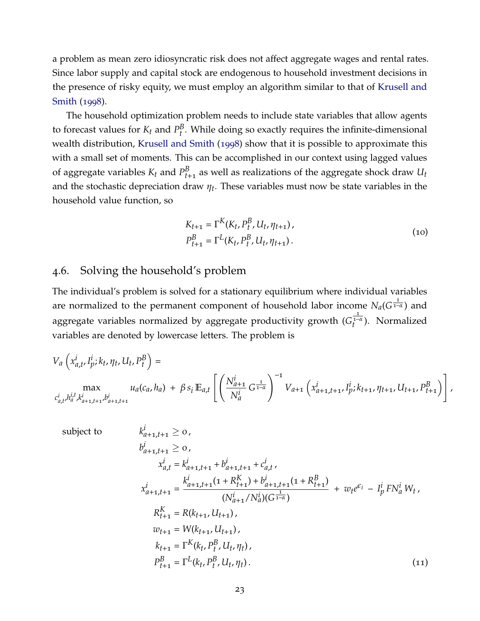a problem as mean zero idiosyncratic risk does not affect aggregate wages and rental rates. Since labor supply and capital stock are endogenous to household investment decisions in the presence of risky equity, we must employ an algorithm similar to that of [Krusell and](#page-44-17) [Smith](#page-44-17) ([1998](#page-44-17)).

The household optimization problem needs to include state variables that allow agents to forecast values for  $K_t$  and  $P_t^B$ *t* . While doing so exactly requires the infinite-dimensional wealth distribution, [Krusell and Smith](#page-44-17) ([1998](#page-44-17)) show that it is possible to approximate this with a small set of moments. This can be accomplished in our context using lagged values of aggregate variables  $K_t$  and  $P_{t+1}^B$  as well as realizations of the aggregate shock draw  $U_t$ and the stochastic depreciation draw *ηt* . These variables must now be state variables in the household value function, so

$$
K_{t+1} = \Gamma^{K}(K_{t}, P_{t}^{B}, U_{t}, \eta_{t+1}),
$$
  
\n
$$
P_{t+1}^{B} = \Gamma^{L}(K_{t}, P_{t}^{B}, U_{t}, \eta_{t+1}).
$$
\n(10)

# 4.6. Solving the household's problem

The individual's problem is solved for a stationary equilibrium where individual variables are normalized to the permanent component of household labor income  $N_a(G^{\frac{1}{1-\alpha}})$  and aggregate variables normalized by aggregate productivity growth (*G* 1–*α*  $t^{1-\alpha}$ ). Normalized variables are denoted by lowercase letters. The problem is

$$
V_a\left(x_{a,t}^i, I_p^i; k_t, \eta_t, U_t, P_t^B\right) =
$$
  
\n
$$
\max_{c_{a,t}^i, h_a^{i,t}, k_{a+1,t+1}^i, b_{a+1,t+1}^i} u_a(c_a, h_a) + \beta s_i \mathbb{E}_{a,t} \left[ \left(\frac{N_{a+1}^i}{N_a^i} G^{\frac{1}{1-\alpha}}\right)^{-1} V_{a+1}\left(x_{a+1,t+1}^i, I_p^i; k_{t+1}, \eta_{t+1}, U_{t+1}, P_{t+1}^B\right) \right],
$$

<span id="page-24-0"></span>subject to  
\n
$$
k_{a+1,t+1}^{i} \ge 0,
$$
\n
$$
b_{a+1,t+1}^{i} \ge 0,
$$
\n
$$
x_{a,t}^{i} = k_{a+1,t+1}^{i} + b_{a+1,t+1}^{i} + c_{a,t}^{i},
$$
\n
$$
x_{a+1,t+1}^{i} = \frac{k_{a+1,t+1}^{i}(1 + R_{t+1}^{K}) + b_{a+1,t+1}^{i}(1 + R_{t+1}^{B})}{(N_{a+1}^{i}/N_{a}^{i})(G^{\frac{1}{1-\alpha}})} + w_{t}e^{\epsilon_{i}} - I_{p}^{i}FN_{a}^{i}W_{t},
$$
\n
$$
R_{t+1}^{K} = R(k_{t+1}, U_{t+1}),
$$
\n
$$
w_{t+1} = W(k_{t+1}, U_{t+1}),
$$
\n
$$
k_{t+1} = \Gamma^{K}(k_{t}, P_{t}^{B}, U_{t}, \eta_{t}),
$$
\n
$$
P_{t+1}^{B} = \Gamma^{L}(k_{t}, P_{t}^{B}, U_{t}, \eta_{t}).
$$
\n(11)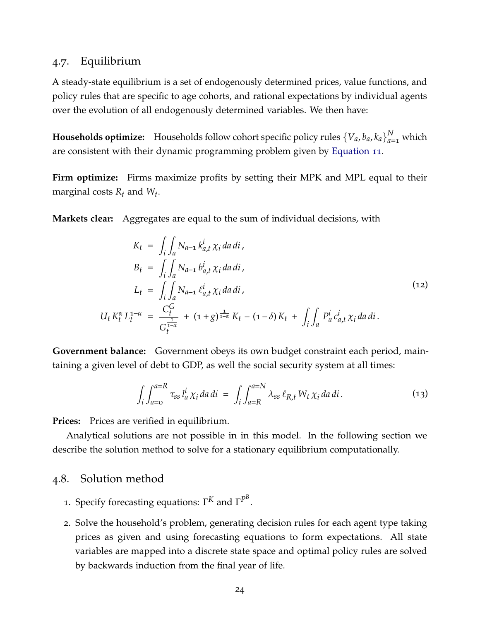# 4.7. Equilibrium

A steady-state equilibrium is a set of endogenously determined prices, value functions, and policy rules that are specific to age cohorts, and rational expectations by individual agents over the evolution of all endogenously determined variables. We then have:

**Households optimize:** Households follow cohort specific policy rules  $\{V_a, b_a, k_a\}_{a=1}^N$  which are consistent with their dynamic programming problem given by [Equation](#page-24-0) 11.

**Firm optimize:** Firms maximize profits by setting their MPK and MPL equal to their marginal costs  $R_t$  and  $W_t$ .

**Markets clear:** Aggregates are equal to the sum of individual decisions, with

$$
K_{t} = \int_{i} \int_{a} N_{a-1} k_{a,t}^{i} \chi_{i} da di,
$$
  
\n
$$
B_{t} = \int_{i} \int_{a} N_{a-1} b_{a,t}^{i} \chi_{i} da di,
$$
  
\n
$$
L_{t} = \int_{i} \int_{a} N_{a-1} \ell_{a,t}^{i} \chi_{i} da di,
$$
  
\n
$$
U_{t} K_{t}^{\alpha} L_{t}^{1-\alpha} = \frac{C_{t}^{G}}{C_{t}^{1-\alpha}} + (1+g)^{\frac{1}{1-\alpha}} K_{t} - (1-\delta) K_{t} + \int_{i} \int_{a} P_{a}^{i} c_{a,t}^{i} \chi_{i} da di.
$$
  
\n(12)

**Government balance:** Government obeys its own budget constraint each period, maintaining a given level of debt to GDP, as well the social security system at all times:

$$
\int_{i} \int_{a=0}^{a=R} \tau_{ss} l_a^i \chi_i da \, di = \int_{i} \int_{a=R}^{a=N} \lambda_{ss} \ell_{R,t} W_t \chi_i da \, di. \tag{13}
$$

**Prices:** Prices are verified in equilibrium.

Analytical solutions are not possible in in this model. In the following section we describe the solution method to solve for a stationary equilibrium computationally.

### 4.8. Solution method

- 1. Specify forecasting equations:  $\Gamma^K$  and  $\Gamma^{P^B}.$
- 2. Solve the household's problem, generating decision rules for each agent type taking prices as given and using forecasting equations to form expectations. All state variables are mapped into a discrete state space and optimal policy rules are solved by backwards induction from the final year of life.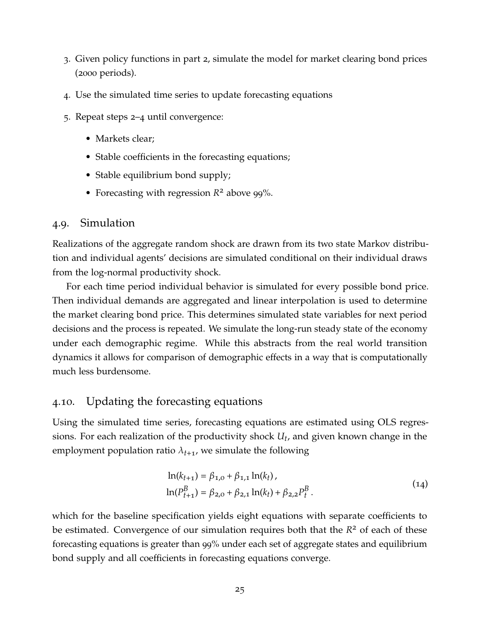- 3. Given policy functions in part 2, simulate the model for market clearing bond prices (2000 periods).
- 4. Use the simulated time series to update forecasting equations
- 5. Repeat steps 2–4 until convergence:
	- Markets clear:
	- Stable coefficients in the forecasting equations;
	- Stable equilibrium bond supply;
	- Forecasting with regression *R* <sup>2</sup> above <sup>99</sup>%.

## 4.9. Simulation

Realizations of the aggregate random shock are drawn from its two state Markov distribution and individual agents' decisions are simulated conditional on their individual draws from the log-normal productivity shock.

For each time period individual behavior is simulated for every possible bond price. Then individual demands are aggregated and linear interpolation is used to determine the market clearing bond price. This determines simulated state variables for next period decisions and the process is repeated. We simulate the long-run steady state of the economy under each demographic regime. While this abstracts from the real world transition dynamics it allows for comparison of demographic effects in a way that is computationally much less burdensome.

# 4.10. Updating the forecasting equations

Using the simulated time series, forecasting equations are estimated using OLS regressions. For each realization of the productivity shock *Ut* , and given known change in the employment population ratio  $\lambda_{t+1}$ , we simulate the following

$$
\ln(k_{t+1}) = \beta_{1,0} + \beta_{1,1} \ln(k_t),
$$
  
\n
$$
\ln(P_{t+1}^B) = \beta_{2,0} + \beta_{2,1} \ln(k_t) + \beta_{2,2} P_t^B.
$$
\n(14)

which for the baseline specification yields eight equations with separate coefficients to be estimated. Convergence of our simulation requires both that the  $R^2$  of each of these forecasting equations is greater than 99% under each set of aggregate states and equilibrium bond supply and all coefficients in forecasting equations converge.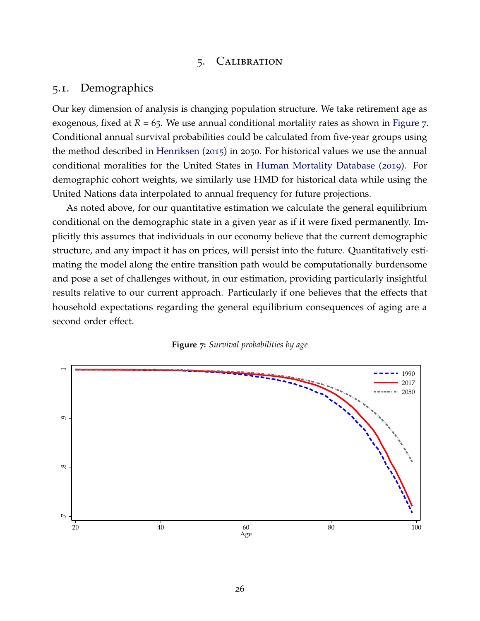## 5. Calibration

## 5.1. Demographics

Our key dimension of analysis is changing population structure. We take retirement age as exogenous, fixed at  $R = 65$ . We use annual conditional mortality rates as shown in [Figure](#page-27-0) 7. Conditional annual survival probabilities could be calculated from five-year groups using the method described in [Henriksen](#page-43-14) ([2015](#page-43-14)) in 2050. For historical values we use the annual conditional moralities for the United States in [Human Mortality Database](#page-43-10) ([2019](#page-43-10)). For demographic cohort weights, we similarly use HMD for historical data while using the United Nations data interpolated to annual frequency for future projections.

As noted above, for our quantitative estimation we calculate the general equilibrium conditional on the demographic state in a given year as if it were fixed permanently. Implicitly this assumes that individuals in our economy believe that the current demographic structure, and any impact it has on prices, will persist into the future. Quantitatively estimating the model along the entire transition path would be computationally burdensome and pose a set of challenges without, in our estimation, providing particularly insightful results relative to our current approach. Particularly if one believes that the effects that household expectations regarding the general equilibrium consequences of aging are a second order effect.

<span id="page-27-0"></span>

**Figure 7:** *Survival probabilities by age*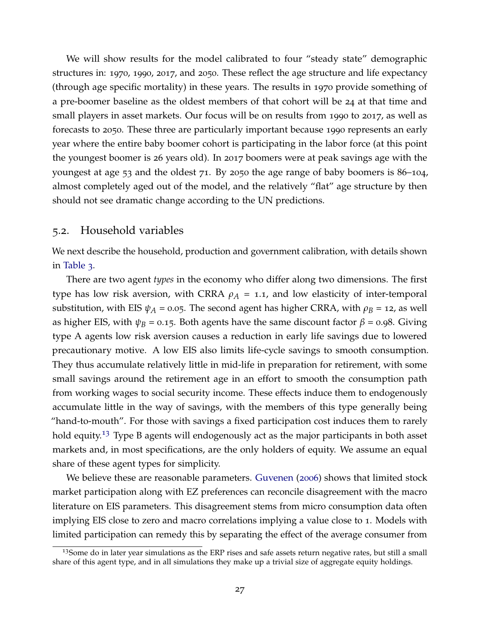We will show results for the model calibrated to four "steady state" demographic structures in: 1970, 1990, 2017, and 2050. These reflect the age structure and life expectancy (through age specific mortality) in these years. The results in 1970 provide something of a pre-boomer baseline as the oldest members of that cohort will be 24 at that time and small players in asset markets. Our focus will be on results from 1990 to 2017, as well as forecasts to 2050. These three are particularly important because 1990 represents an early year where the entire baby boomer cohort is participating in the labor force (at this point the youngest boomer is 26 years old). In 2017 boomers were at peak savings age with the youngest at age 53 and the oldest 71. By 2050 the age range of baby boomers is 86–104, almost completely aged out of the model, and the relatively "flat" age structure by then should not see dramatic change according to the UN predictions.

### 5.2. Household variables

We next describe the household, production and government calibration, with details shown in [Table](#page-29-0) 3.

There are two agent *types* in the economy who differ along two dimensions. The first type has low risk aversion, with CRRA  $\rho_A = 1.1$ , and low elasticity of inter-temporal substitution, with EIS  $\psi_A$  = 0.05. The second agent has higher CRRA, with  $\rho_B$  = 12, as well as higher EIS, with  $\psi_B = 0.15$ . Both agents have the same discount factor  $\beta = 0.98$ . Giving type A agents low risk aversion causes a reduction in early life savings due to lowered precautionary motive. A low EIS also limits life-cycle savings to smooth consumption. They thus accumulate relatively little in mid-life in preparation for retirement, with some small savings around the retirement age in an effort to smooth the consumption path from working wages to social security income. These effects induce them to endogenously accumulate little in the way of savings, with the members of this type generally being "hand-to-mouth". For those with savings a fixed participation cost induces them to rarely hold equity.<sup>[13](#page-28-0)</sup> Type B agents will endogenously act as the major participants in both asset markets and, in most specifications, are the only holders of equity. We assume an equal share of these agent types for simplicity.

We believe these are reasonable parameters. [Guvenen](#page-43-15) ([2006](#page-43-15)) shows that limited stock market participation along with EZ preferences can reconcile disagreement with the macro literature on EIS parameters. This disagreement stems from micro consumption data often implying EIS close to zero and macro correlations implying a value close to 1. Models with limited participation can remedy this by separating the effect of the average consumer from

<span id="page-28-0"></span><sup>&</sup>lt;sup>13</sup>Some do in later year simulations as the ERP rises and safe assets return negative rates, but still a small share of this agent type, and in all simulations they make up a trivial size of aggregate equity holdings.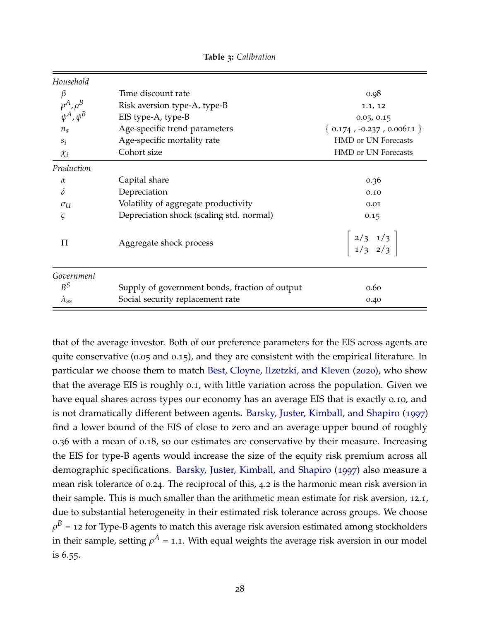<span id="page-29-0"></span>

| Household                            |                                                |                                                                 |
|--------------------------------------|------------------------------------------------|-----------------------------------------------------------------|
| β                                    | Time discount rate                             | 0.98                                                            |
| $\rho^A, \rho^B$<br>$\psi^A, \psi^B$ | Risk aversion type-A, type-B                   | 1.1, 12                                                         |
|                                      | EIS type-A, type-B                             | 0.05, 0.15                                                      |
| $n_a$                                | Age-specific trend parameters                  | $\{ 0.174, -0.237, 0.00611 \}$                                  |
| $S_i$                                | Age-specific mortality rate                    | <b>HMD or UN Forecasts</b>                                      |
| $\chi_i$                             | Cohort size                                    | <b>HMD or UN Forecasts</b>                                      |
| Production                           |                                                |                                                                 |
| $\alpha$                             | Capital share                                  | 0.36                                                            |
| $\delta$                             | Depreciation                                   | 0.10                                                            |
| $\sigma_U$                           | Volatility of aggregate productivity           | 0.01                                                            |
| $\varsigma$                          | Depreciation shock (scaling std. normal)       | 0.15                                                            |
| $\prod$                              | Aggregate shock process                        | $\begin{array}{ c c c c }\n2/3 & 1/3 \\ 1/3 & 2/3\n\end{array}$ |
| Government                           |                                                |                                                                 |
| $B^S$                                | Supply of government bonds, fraction of output | 0.60                                                            |
| $\lambda_{\rm{SS}}$                  | Social security replacement rate               | 0.40                                                            |

**Table 3:** *Calibration*

that of the average investor. Both of our preference parameters for the EIS across agents are quite conservative (0.05 and 0.15), and they are consistent with the empirical literature. In particular we choose them to match [Best, Cloyne, Ilzetzki, and Kleven](#page-42-14) ([2020](#page-42-14)), who show that the average EIS is roughly 0.1, with little variation across the population. Given we have equal shares across types our economy has an average EIS that is exactly 0.10, and is not dramatically different between agents. [Barsky, Juster, Kimball, and Shapiro](#page-42-15) ([1997](#page-42-15)) find a lower bound of the EIS of close to zero and an average upper bound of roughly 0.36 with a mean of 0.18, so our estimates are conservative by their measure. Increasing the EIS for type-B agents would increase the size of the equity risk premium across all demographic specifications. [Barsky, Juster, Kimball, and Shapiro](#page-42-15) ([1997](#page-42-15)) also measure a mean risk tolerance of 0.24. The reciprocal of this, 4.2 is the harmonic mean risk aversion in their sample. This is much smaller than the arithmetic mean estimate for risk aversion, 12.1, due to substantial heterogeneity in their estimated risk tolerance across groups. We choose  $\rho^B$  = 12 for Type-B agents to match this average risk aversion estimated among stockholders in their sample, setting  $\rho^A$  = 1.1. With equal weights the average risk aversion in our model is 6.55.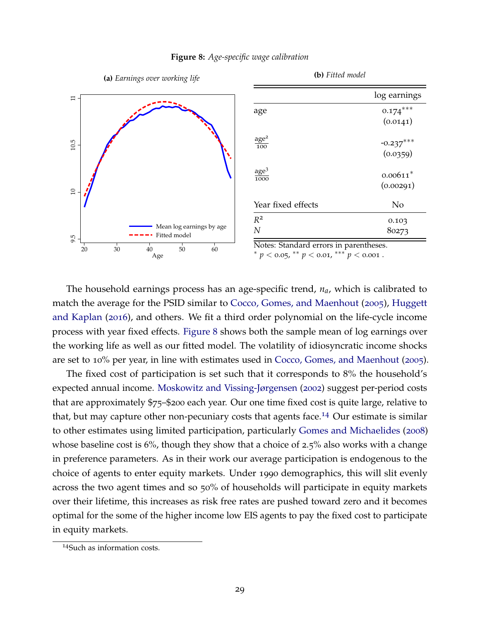<span id="page-30-0"></span>

#### **Figure 8:** *Age-specific wage calibration*

The household earnings process has an age-specific trend, *na*, which is calibrated to match the average for the PSID similar to [Cocco, Gomes, and Maenhout](#page-42-4) ([2005](#page-42-4)), [Huggett](#page-43-16) [and Kaplan](#page-43-16) ([2016](#page-43-16)), and others. We fit a third order polynomial on the life-cycle income process with year fixed effects. [Figure](#page-30-0) 8 shows both the sample mean of log earnings over the working life as well as our fitted model. The volatility of idiosyncratic income shocks are set to 10% per year, in line with estimates used in [Cocco, Gomes, and Maenhout](#page-42-4) ([2005](#page-42-4)).

The fixed cost of participation is set such that it corresponds to 8% the household's expected annual income. [Moskowitz and Vissing-Jørgensen](#page-44-18) ([2002](#page-44-18)) suggest per-period costs that are approximately \$75–\$200 each year. Our one time fixed cost is quite large, relative to that, but may capture other non-pecuniary costs that agents face.<sup>[14](#page-30-1)</sup> Our estimate is similar to other estimates using limited participation, particularly [Gomes and Michaelides](#page-43-12) ([2008](#page-43-12)) whose baseline cost is 6%, though they show that a choice of 2.5% also works with a change in preference parameters. As in their work our average participation is endogenous to the choice of agents to enter equity markets. Under 1990 demographics, this will slit evenly across the two agent times and so 50% of households will participate in equity markets over their lifetime, this increases as risk free rates are pushed toward zero and it becomes optimal for the some of the higher income low EIS agents to pay the fixed cost to participate in equity markets.

<span id="page-30-1"></span><sup>14</sup>Such as information costs.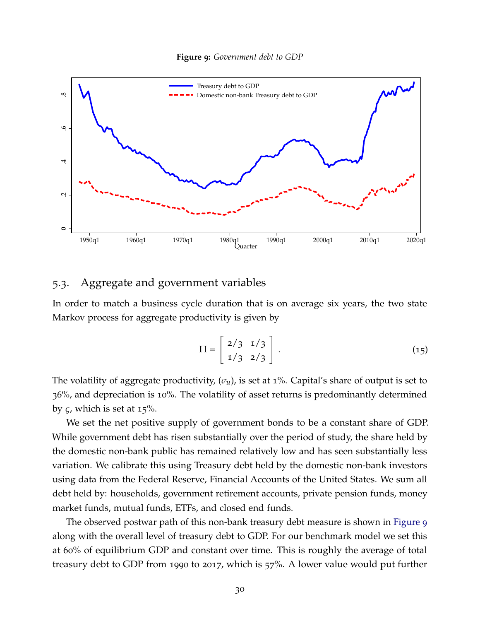

<span id="page-31-0"></span>

# 5.3. Aggregate and government variables

In order to match a business cycle duration that is on average six years, the two state Markov process for aggregate productivity is given by

$$
\Pi = \left[ \begin{array}{cc} 2/3 & 1/3 \\ 1/3 & 2/3 \end{array} \right]. \tag{15}
$$

The volatility of aggregate productivity, (*σu*), is set at 1%. Capital's share of output is set to 36%, and depreciation is 10%. The volatility of asset returns is predominantly determined by *ς*, which is set at 15%.

We set the net positive supply of government bonds to be a constant share of GDP. While government debt has risen substantially over the period of study, the share held by the domestic non-bank public has remained relatively low and has seen substantially less variation. We calibrate this using Treasury debt held by the domestic non-bank investors using data from the Federal Reserve, Financial Accounts of the United States. We sum all debt held by: households, government retirement accounts, private pension funds, money market funds, mutual funds, ETFs, and closed end funds.

The observed postwar path of this non-bank treasury debt measure is shown in [Figure](#page-31-0) 9 along with the overall level of treasury debt to GDP. For our benchmark model we set this at 60% of equilibrium GDP and constant over time. This is roughly the average of total treasury debt to GDP from 1990 to 2017, which is 57%. A lower value would put further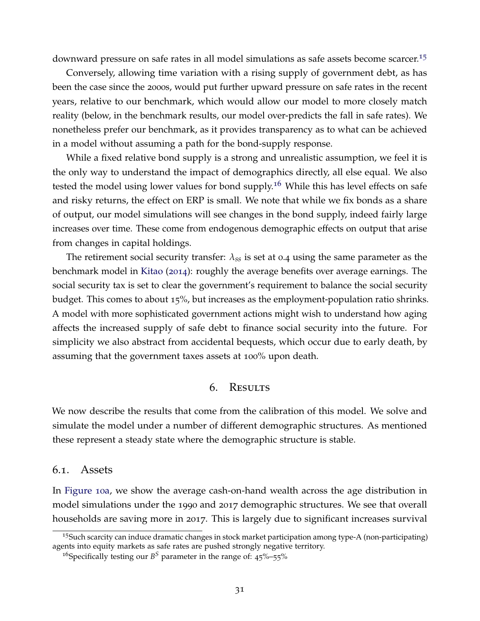downward pressure on safe rates in all model simulations as safe assets become scarcer.[15](#page-32-0)

Conversely, allowing time variation with a rising supply of government debt, as has been the case since the 2000s, would put further upward pressure on safe rates in the recent years, relative to our benchmark, which would allow our model to more closely match reality (below, in the benchmark results, our model over-predicts the fall in safe rates). We nonetheless prefer our benchmark, as it provides transparency as to what can be achieved in a model without assuming a path for the bond-supply response.

While a fixed relative bond supply is a strong and unrealistic assumption, we feel it is the only way to understand the impact of demographics directly, all else equal. We also tested the model using lower values for bond supply.<sup>[16](#page-32-1)</sup> While this has level effects on safe and risky returns, the effect on ERP is small. We note that while we fix bonds as a share of output, our model simulations will see changes in the bond supply, indeed fairly large increases over time. These come from endogenous demographic effects on output that arise from changes in capital holdings.

The retirement social security transfer: *λss* is set at 0.4 using the same parameter as the benchmark model in [Kitao](#page-44-15) ([2014](#page-44-15)): roughly the average benefits over average earnings. The social security tax is set to clear the government's requirement to balance the social security budget. This comes to about 15%, but increases as the employment-population ratio shrinks. A model with more sophisticated government actions might wish to understand how aging affects the increased supply of safe debt to finance social security into the future. For simplicity we also abstract from accidental bequests, which occur due to early death, by assuming that the government taxes assets at 100% upon death.

# 6. Results

We now describe the results that come from the calibration of this model. We solve and simulate the model under a number of different demographic structures. As mentioned these represent a steady state where the demographic structure is stable.

## 6.1. Assets

In [Figure](#page-34-0) 10a, we show the average cash-on-hand wealth across the age distribution in model simulations under the 1990 and 2017 demographic structures. We see that overall households are saving more in 2017. This is largely due to significant increases survival

<span id="page-32-0"></span> $15$ Such scarcity can induce dramatic changes in stock market participation among type-A (non-participating) agents into equity markets as safe rates are pushed strongly negative territory.

<span id="page-32-1"></span><sup>&</sup>lt;sup>16</sup>Specifically testing our  $B^S$  parameter in the range of:  $45\%$ –55%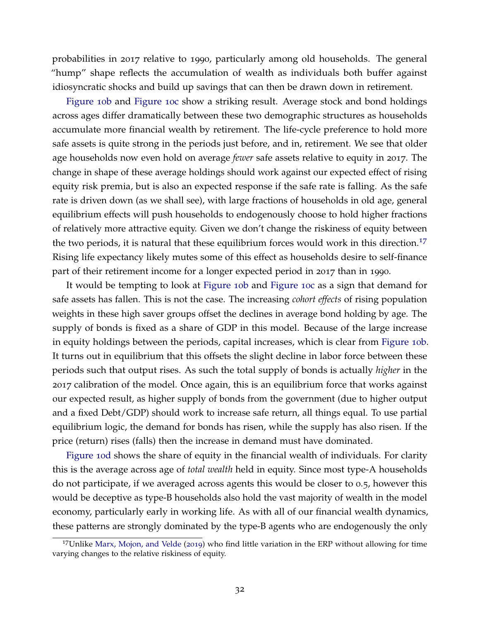probabilities in 2017 relative to 1990, particularly among old households. The general "hump" shape reflects the accumulation of wealth as individuals both buffer against idiosyncratic shocks and build up savings that can then be drawn down in retirement.

[Figure](#page-34-0) 10b and [Figure](#page-34-0) 10c show a striking result. Average stock and bond holdings across ages differ dramatically between these two demographic structures as households accumulate more financial wealth by retirement. The life-cycle preference to hold more safe assets is quite strong in the periods just before, and in, retirement. We see that older age households now even hold on average *fewer* safe assets relative to equity in 2017. The change in shape of these average holdings should work against our expected effect of rising equity risk premia, but is also an expected response if the safe rate is falling. As the safe rate is driven down (as we shall see), with large fractions of households in old age, general equilibrium effects will push households to endogenously choose to hold higher fractions of relatively more attractive equity. Given we don't change the riskiness of equity between the two periods, it is natural that these equilibrium forces would work in this direction.<sup>[17](#page-33-0)</sup> Rising life expectancy likely mutes some of this effect as households desire to self-finance part of their retirement income for a longer expected period in 2017 than in 1990.

It would be tempting to look at [Figure](#page-34-0) 10b and [Figure](#page-34-0) 10c as a sign that demand for safe assets has fallen. This is not the case. The increasing *cohort effects* of rising population weights in these high saver groups offset the declines in average bond holding by age. The supply of bonds is fixed as a share of GDP in this model. Because of the large increase in equity holdings between the periods, capital increases, which is clear from [Figure](#page-34-0) 10b. It turns out in equilibrium that this offsets the slight decline in labor force between these periods such that output rises. As such the total supply of bonds is actually *higher* in the 2017 calibration of the model. Once again, this is an equilibrium force that works against our expected result, as higher supply of bonds from the government (due to higher output and a fixed Debt/GDP) should work to increase safe return, all things equal. To use partial equilibrium logic, the demand for bonds has risen, while the supply has also risen. If the price (return) rises (falls) then the increase in demand must have dominated.

[Figure](#page-34-0) 10d shows the share of equity in the financial wealth of individuals. For clarity this is the average across age of *total wealth* held in equity. Since most type-A households do not participate, if we averaged across agents this would be closer to 0.5, however this would be deceptive as type-B households also hold the vast majority of wealth in the model economy, particularly early in working life. As with all of our financial wealth dynamics, these patterns are strongly dominated by the type-B agents who are endogenously the only

<span id="page-33-0"></span><sup>17</sup>Unlike [Marx, Mojon, and Velde](#page-44-5) ([2019](#page-44-5)) who find little variation in the ERP without allowing for time varying changes to the relative riskiness of equity.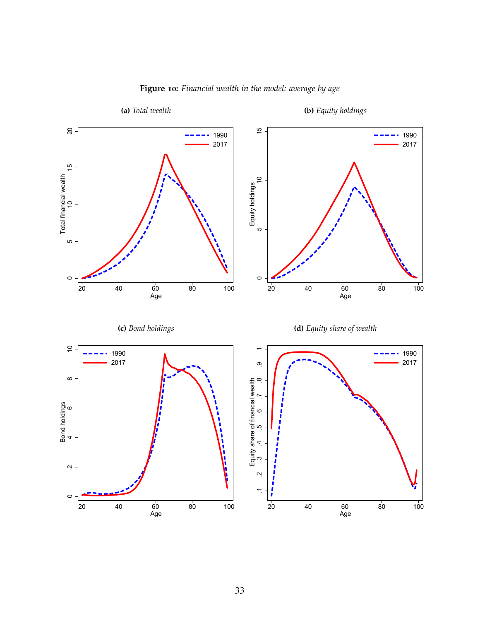<span id="page-34-0"></span>

# **Figure 10:** *Financial wealth in the model: average by age*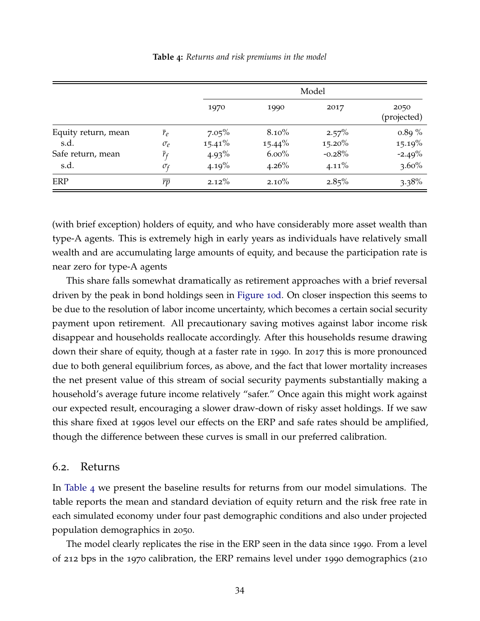<span id="page-35-0"></span>

|                             |                             | Model                 |                       |                       |                       |
|-----------------------------|-----------------------------|-----------------------|-----------------------|-----------------------|-----------------------|
|                             |                             | 1970                  | 1990                  | 2017                  | 2050<br>(projected)   |
| Equity return, mean<br>s.d. | $r_e$<br>$\sigma_e$         | $7.05\%$<br>$15.41\%$ | $8.10\%$<br>$15.44\%$ | $2.57\%$<br>$15.20\%$ | $0.89\%$<br>$15.19\%$ |
| Safe return, mean<br>s.d.   | $\bar{r}_{f}$<br>$\sigma_f$ | $4.93\%$<br>4.19%     | $6.00\%$<br>$4.26\%$  | $-0.28%$<br>$4.11\%$  | $-2.49%$<br>$3.60\%$  |
| ERP                         | $\overline{rp}$             | $2.12\%$              | $2.10\%$              | $2.85\%$              | $3.38\%$              |

(with brief exception) holders of equity, and who have considerably more asset wealth than type-A agents. This is extremely high in early years as individuals have relatively small wealth and are accumulating large amounts of equity, and because the participation rate is near zero for type-A agents

This share falls somewhat dramatically as retirement approaches with a brief reversal driven by the peak in bond holdings seen in [Figure](#page-34-0) 10d. On closer inspection this seems to be due to the resolution of labor income uncertainty, which becomes a certain social security payment upon retirement. All precautionary saving motives against labor income risk disappear and households reallocate accordingly. After this households resume drawing down their share of equity, though at a faster rate in 1990. In 2017 this is more pronounced due to both general equilibrium forces, as above, and the fact that lower mortality increases the net present value of this stream of social security payments substantially making a household's average future income relatively "safer." Once again this might work against our expected result, encouraging a slower draw-down of risky asset holdings. If we saw this share fixed at 1990s level our effects on the ERP and safe rates should be amplified, though the difference between these curves is small in our preferred calibration.

#### 6.2. Returns

In [Table](#page-35-0) 4 we present the baseline results for returns from our model simulations. The table reports the mean and standard deviation of equity return and the risk free rate in each simulated economy under four past demographic conditions and also under projected population demographics in 2050.

The model clearly replicates the rise in the ERP seen in the data since 1990. From a level of 212 bps in the 1970 calibration, the ERP remains level under 1990 demographics (210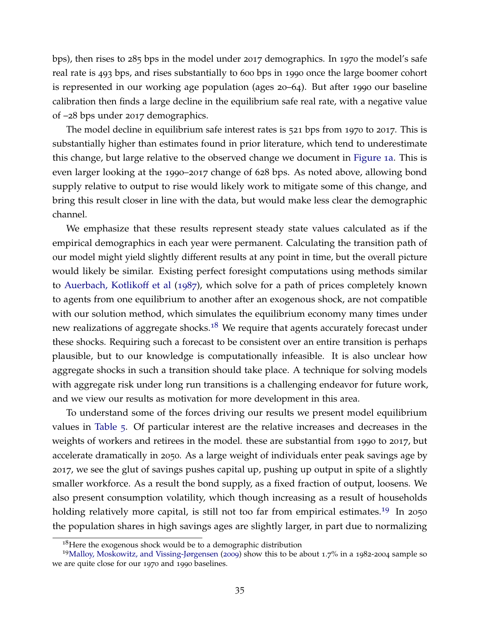bps), then rises to 285 bps in the model under 2017 demographics. In 1970 the model's safe real rate is 493 bps, and rises substantially to 600 bps in 1990 once the large boomer cohort is represented in our working age population (ages 20–64). But after 1990 our baseline calibration then finds a large decline in the equilibrium safe real rate, with a negative value of –28 bps under 2017 demographics.

The model decline in equilibrium safe interest rates is 521 bps from 1970 to 2017. This is substantially higher than estimates found in prior literature, which tend to underestimate this change, but large relative to the observed change we document in [Figure](#page-7-0) 1a. This is even larger looking at the 1990–2017 change of 628 bps. As noted above, allowing bond supply relative to output to rise would likely work to mitigate some of this change, and bring this result closer in line with the data, but would make less clear the demographic channel.

We emphasize that these results represent steady state values calculated as if the empirical demographics in each year were permanent. Calculating the transition path of our model might yield slightly different results at any point in time, but the overall picture would likely be similar. Existing perfect foresight computations using methods similar to [Auerbach, Kotlikoff et al](#page-42-16) ([1987](#page-42-16)), which solve for a path of prices completely known to agents from one equilibrium to another after an exogenous shock, are not compatible with our solution method, which simulates the equilibrium economy many times under new realizations of aggregate shocks.<sup>[18](#page-36-0)</sup> We require that agents accurately forecast under these shocks. Requiring such a forecast to be consistent over an entire transition is perhaps plausible, but to our knowledge is computationally infeasible. It is also unclear how aggregate shocks in such a transition should take place. A technique for solving models with aggregate risk under long run transitions is a challenging endeavor for future work, and we view our results as motivation for more development in this area.

To understand some of the forces driving our results we present model equilibrium values in [Table](#page-37-0) 5. Of particular interest are the relative increases and decreases in the weights of workers and retirees in the model. these are substantial from 1990 to 2017, but accelerate dramatically in 2050. As a large weight of individuals enter peak savings age by 2017, we see the glut of savings pushes capital up, pushing up output in spite of a slightly smaller workforce. As a result the bond supply, as a fixed fraction of output, loosens. We also present consumption volatility, which though increasing as a result of households holding relatively more capital, is still not too far from empirical estimates.<sup>[19](#page-36-1)</sup> In 2050 the population shares in high savings ages are slightly larger, in part due to normalizing

<span id="page-36-1"></span><span id="page-36-0"></span> $18$  Here the exogenous shock would be to a demographic distribution

<sup>19</sup>[Malloy, Moskowitz, and Vissing-Jørgensen](#page-44-19) ([2009](#page-44-19)) show this to be about 1.7% in a 1982-2004 sample so we are quite close for our 1970 and 1990 baselines.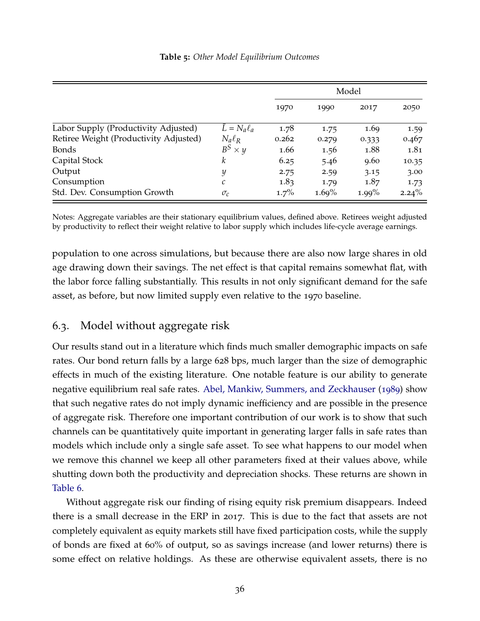|  |  |  | Table 5: Other Model Equilibrium Outcomes |  |
|--|--|--|-------------------------------------------|--|
|--|--|--|-------------------------------------------|--|

<span id="page-37-0"></span>

|                                        |                        | Model   |       |          |          |
|----------------------------------------|------------------------|---------|-------|----------|----------|
|                                        |                        | 1970    | 1990  | 2017     | 2050     |
| Labor Supply (Productivity Adjusted)   | $\bar{L} = N_a \ell_a$ | 1.78    | 1.75  | 1.69     | 1.59     |
| Retiree Weight (Productivity Adjusted) | $N_a \ell_R$           | 0.262   | 0.279 | 0.333    | 0.467    |
| <b>Bonds</b>                           | $B^S$<br>$\times y$    | 1.66    | 1.56  | 1.88     | 1.81     |
| Capital Stock                          | k                      | 6.25    | 5.46  | 9.60     | 10.35    |
| Output                                 | y                      | 2.75    | 2.59  | 3.15     | 3.00     |
| Consumption                            | с                      | 1.83    | 1.79  | 1.87     | 1.73     |
| Std. Dev. Consumption Growth           | $\sigma_c$             | $1.7\%$ | 1.69% | $1.99\%$ | $2.24\%$ |

Notes: Aggregate variables are their stationary equilibrium values, defined above. Retirees weight adjusted by productivity to reflect their weight relative to labor supply which includes life-cycle average earnings.

population to one across simulations, but because there are also now large shares in old age drawing down their savings. The net effect is that capital remains somewhat flat, with the labor force falling substantially. This results in not only significant demand for the safe asset, as before, but now limited supply even relative to the 1970 baseline.

# 6.3. Model without aggregate risk

Our results stand out in a literature which finds much smaller demographic impacts on safe rates. Our bond return falls by a large 628 bps, much larger than the size of demographic effects in much of the existing literature. One notable feature is our ability to generate negative equilibrium real safe rates. [Abel, Mankiw, Summers, and Zeckhauser](#page-42-17) ([1989](#page-42-17)) show that such negative rates do not imply dynamic inefficiency and are possible in the presence of aggregate risk. Therefore one important contribution of our work is to show that such channels can be quantitatively quite important in generating larger falls in safe rates than models which include only a single safe asset. To see what happens to our model when we remove this channel we keep all other parameters fixed at their values above, while shutting down both the productivity and depreciation shocks. These returns are shown in [Table](#page-38-0) 6.

Without aggregate risk our finding of rising equity risk premium disappears. Indeed there is a small decrease in the ERP in 2017. This is due to the fact that assets are not completely equivalent as equity markets still have fixed participation costs, while the supply of bonds are fixed at 60% of output, so as savings increase (and lower returns) there is some effect on relative holdings. As these are otherwise equivalent assets, there is no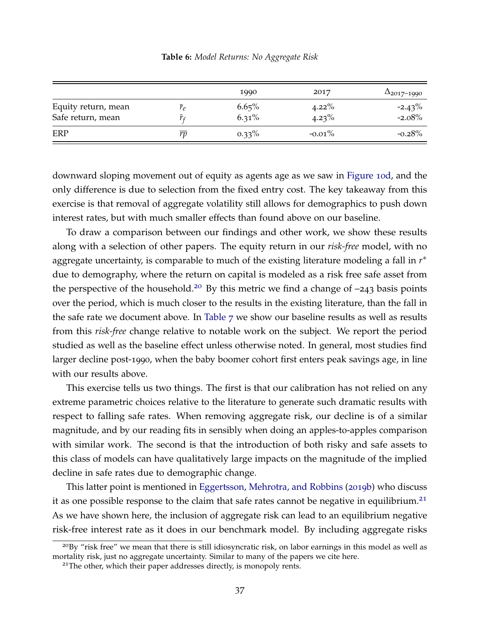<span id="page-38-0"></span>

|                  | 1990              | 2017                 | $\Delta_{2017-1990}$  |
|------------------|-------------------|----------------------|-----------------------|
| $\overline{r}_e$ | 6.65%<br>$6.31\%$ | $4.22\%$<br>$4.23\%$ | $-2.43\%$<br>$-2.08%$ |
| rp               | $0.33\%$          | $-0.01\%$            | $-0.28\%$             |
|                  |                   |                      |                       |

**Table 6:** *Model Returns: No Aggregate Risk*

downward sloping movement out of equity as agents age as we saw in [Figure](#page-34-0) 10d, and the only difference is due to selection from the fixed entry cost. The key takeaway from this exercise is that removal of aggregate volatility still allows for demographics to push down interest rates, but with much smaller effects than found above on our baseline.

To draw a comparison between our findings and other work, we show these results along with a selection of other papers. The equity return in our *risk-free* model, with no aggregate uncertainty, is comparable to much of the existing literature modeling a fall in *r* ∗ due to demography, where the return on capital is modeled as a risk free safe asset from the perspective of the household.<sup>[20](#page-38-1)</sup> By this metric we find a change of  $-243$  basis points over the period, which is much closer to the results in the existing literature, than the fall in the safe rate we document above. In [Table](#page-39-0) 7 we show our baseline results as well as results from this *risk-free* change relative to notable work on the subject. We report the period studied as well as the baseline effect unless otherwise noted. In general, most studies find larger decline post-1990, when the baby boomer cohort first enters peak savings age, in line with our results above.

This exercise tells us two things. The first is that our calibration has not relied on any extreme parametric choices relative to the literature to generate such dramatic results with respect to falling safe rates. When removing aggregate risk, our decline is of a similar magnitude, and by our reading fits in sensibly when doing an apples-to-apples comparison with similar work. The second is that the introduction of both risky and safe assets to this class of models can have qualitatively large impacts on the magnitude of the implied decline in safe rates due to demographic change.

This latter point is mentioned in [Eggertsson, Mehrotra, and Robbins](#page-43-17) ([2019](#page-43-17)b) who discuss it as one possible response to the claim that safe rates cannot be negative in equilibrium.<sup>[21](#page-38-2)</sup> As we have shown here, the inclusion of aggregate risk can lead to an equilibrium negative risk-free interest rate as it does in our benchmark model. By including aggregate risks

<span id="page-38-1"></span><sup>&</sup>lt;sup>20</sup>By "risk free" we mean that there is still idiosyncratic risk, on labor earnings in this model as well as mortality risk, just no aggregate uncertainty. Similar to many of the papers we cite here.

<span id="page-38-2"></span><sup>&</sup>lt;sup>21</sup>The other, which their paper addresses directly, is monopoly rents.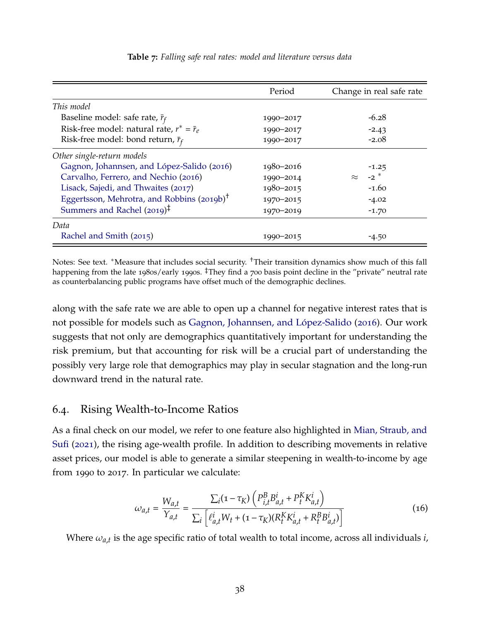<span id="page-39-0"></span>

|                                                        | Period    | Change in real safe rate |
|--------------------------------------------------------|-----------|--------------------------|
| This model                                             |           |                          |
| Baseline model: safe rate, $\bar{r}_f$                 | 1990-2017 | $-6.28$                  |
| Risk-free model: natural rate, $r^* = \bar{r}_e$       | 1990-2017 | $-2.43$                  |
| Risk-free model: bond return, $\bar{r}_f$              | 1990-2017 | $-2.08$                  |
| Other single-return models                             |           |                          |
| Gagnon, Johannsen, and López-Salido (2016)             | 1980-2016 | $-1.25$                  |
| Carvalho, Ferrero, and Nechio (2016)                   | 1990-2014 | $-2$ $*$<br>$\approx$    |
| Lisack, Sajedi, and Thwaites (2017)                    | 1980-2015 | $-1.60$                  |
| Eggertsson, Mehrotra, and Robbins (2019b) <sup>†</sup> | 1970-2015 | $-4.02$                  |
| Summers and Rachel $(2019)^{\ddagger}$                 | 1970-2019 | $-1.70$                  |
| Data                                                   |           |                          |
| Rachel and Smith (2015)                                | 1990-2015 | $-4.50$                  |

**Table 7:** *Falling safe real rates: model and literature versus data*

Notes: See text. <sup>∗</sup>Measure that includes social security. †Their transition dynamics show much of this fall happening from the late 1980s/early 1990s. <sup>‡</sup>They find a 700 basis point decline in the "private" neutral rate as counterbalancing public programs have offset much of the demographic declines.

along with the safe rate we are able to open up a channel for negative interest rates that is not possible for models such as Gagnon, Johannsen, and López-Salido ([2016](#page-43-4)). Our work suggests that not only are demographics quantitatively important for understanding the risk premium, but that accounting for risk will be a crucial part of understanding the possibly very large role that demographics may play in secular stagnation and the long-run downward trend in the natural rate.

# 6.4. Rising Wealth-to-Income Ratios

As a final check on our model, we refer to one feature also highlighted in [Mian, Straub, and](#page-44-20) [Sufi](#page-44-20) ([2021](#page-44-20)), the rising age-wealth profile. In addition to describing movements in relative asset prices, our model is able to generate a similar steepening in wealth-to-income by age from 1990 to 2017. In particular we calculate:

$$
\omega_{a,t} = \frac{W_{a,t}}{Y_{a,t}} = \frac{\sum_{i} (1 - \tau_K) \left( P_{i,t}^B B_{a,t}^i + P_t^K K_{a,t}^i \right)}{\sum_{i} \left[ \ell_{a,t}^i W_t + (1 - \tau_K) (R_t^K K_{a,t}^i + R_t^B B_{a,t}^i) \right]}
$$
(16)

Where *ωa*,*t* is the age specific ratio of total wealth to total income, across all individuals *i*,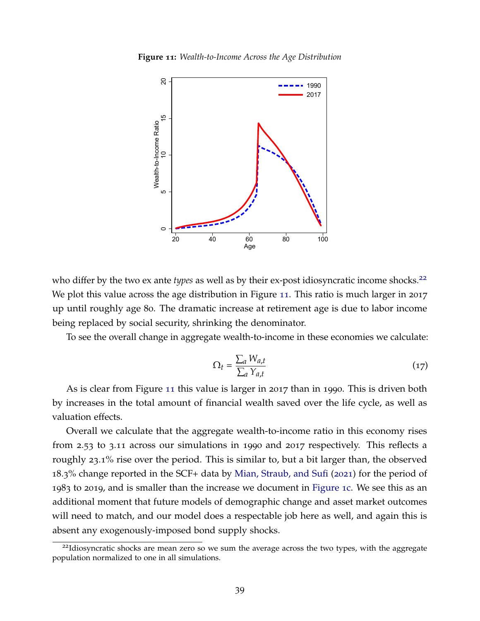<span id="page-40-1"></span>**Figure 11:** *Wealth-to-Income Across the Age Distribution*



who differ by the two ex ante *types* as well as by their ex-post idiosyncratic income shocks.<sup>[22](#page-40-0)</sup> We plot this value across the age distribution in Figure [11](#page-40-1). This ratio is much larger in 2017 up until roughly age 80. The dramatic increase at retirement age is due to labor income being replaced by social security, shrinking the denominator.

To see the overall change in aggregate wealth-to-income in these economies we calculate:

$$
\Omega_t = \frac{\sum_a W_{a,t}}{\sum_a Y_{a,t}} \tag{17}
$$

As is clear from Figure [11](#page-40-1) this value is larger in 2017 than in 1990. This is driven both by increases in the total amount of financial wealth saved over the life cycle, as well as valuation effects.

Overall we calculate that the aggregate wealth-to-income ratio in this economy rises from 2.53 to 3.11 across our simulations in 1990 and 2017 respectively. This reflects a roughly 23.1% rise over the period. This is similar to, but a bit larger than, the observed 18.3% change reported in the SCF+ data by [Mian, Straub, and Sufi](#page-44-20) ([2021](#page-44-20)) for the period of 1983 to 2019, and is smaller than the increase we document in [Figure](#page-7-0) 1c. We see this as an additional moment that future models of demographic change and asset market outcomes will need to match, and our model does a respectable job here as well, and again this is absent any exogenously-imposed bond supply shocks.

<span id="page-40-0"></span><sup>&</sup>lt;sup>22</sup>Idiosyncratic shocks are mean zero so we sum the average across the two types, with the aggregate population normalized to one in all simulations.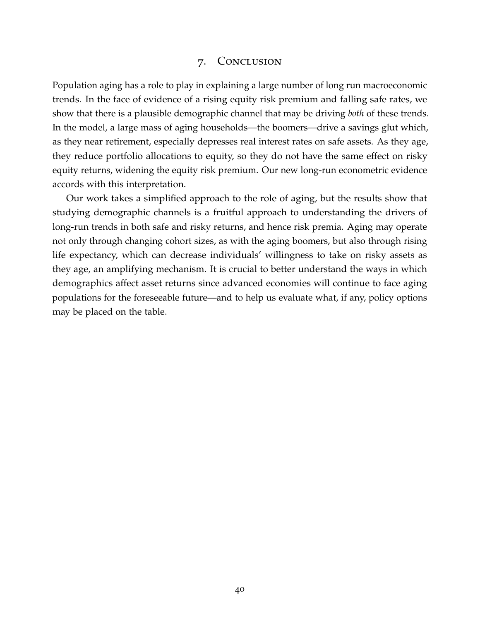### 7. Conclusion

Population aging has a role to play in explaining a large number of long run macroeconomic trends. In the face of evidence of a rising equity risk premium and falling safe rates, we show that there is a plausible demographic channel that may be driving *both* of these trends. In the model, a large mass of aging households—the boomers—drive a savings glut which, as they near retirement, especially depresses real interest rates on safe assets. As they age, they reduce portfolio allocations to equity, so they do not have the same effect on risky equity returns, widening the equity risk premium. Our new long-run econometric evidence accords with this interpretation.

Our work takes a simplified approach to the role of aging, but the results show that studying demographic channels is a fruitful approach to understanding the drivers of long-run trends in both safe and risky returns, and hence risk premia. Aging may operate not only through changing cohort sizes, as with the aging boomers, but also through rising life expectancy, which can decrease individuals' willingness to take on risky assets as they age, an amplifying mechanism. It is crucial to better understand the ways in which demographics affect asset returns since advanced economies will continue to face aging populations for the foreseeable future—and to help us evaluate what, if any, policy options may be placed on the table.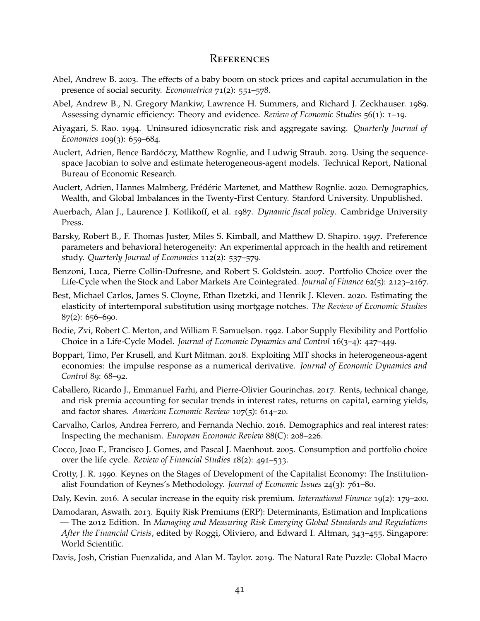#### **REFERENCES**

- <span id="page-42-7"></span>Abel, Andrew B. 2003. The effects of a baby boom on stock prices and capital accumulation in the presence of social security. *Econometrica* 71(2): 551–578.
- <span id="page-42-17"></span>Abel, Andrew B., N. Gregory Mankiw, Lawrence H. Summers, and Richard J. Zeckhauser. 1989. Assessing dynamic efficiency: Theory and evidence. *Review of Economic Studies* 56(1): 1–19.
- <span id="page-42-13"></span>Aiyagari, S. Rao. 1994. Uninsured idiosyncratic risk and aggregate saving. *Quarterly Journal of Economics* 109(3): 659–684.
- <span id="page-42-11"></span>Auclert, Adrien, Bence Bardóczy, Matthew Rognlie, and Ludwig Straub. 2019. Using the sequencespace Jacobian to solve and estimate heterogeneous-agent models. Technical Report, National Bureau of Economic Research.
- <span id="page-42-0"></span>Auclert, Adrien, Hannes Malmberg, Frédéric Martenet, and Matthew Rognlie. 2020. Demographics, Wealth, and Global Imbalances in the Twenty-First Century. Stanford University. Unpublished.
- <span id="page-42-16"></span>Auerbach, Alan J., Laurence J. Kotlikoff, et al. 1987. *Dynamic fiscal policy*. Cambridge University Press.
- <span id="page-42-15"></span>Barsky, Robert B., F. Thomas Juster, Miles S. Kimball, and Matthew D. Shapiro. 1997. Preference parameters and behavioral heterogeneity: An experimental approach in the health and retirement study. *Quarterly Journal of Economics* 112(2): 537–579.
- <span id="page-42-5"></span>Benzoni, Luca, Pierre Collin-Dufresne, and Robert S. Goldstein. 2007. Portfolio Choice over the Life-Cycle when the Stock and Labor Markets Are Cointegrated. *Journal of Finance* 62(5): 2123–2167.
- <span id="page-42-14"></span>Best, Michael Carlos, James S. Cloyne, Ethan Ilzetzki, and Henrik J. Kleven. 2020. Estimating the elasticity of intertemporal substitution using mortgage notches. *The Review of Economic Studies*  $87(2): 656 - 690.$
- <span id="page-42-3"></span>Bodie, Zvi, Robert C. Merton, and William F. Samuelson. 1992. Labor Supply Flexibility and Portfolio Choice in a Life-Cycle Model. *Journal of Economic Dynamics and Control* 16(3–4): 427–449.
- <span id="page-42-12"></span>Boppart, Timo, Per Krusell, and Kurt Mitman. 2018. Exploiting MIT shocks in heterogeneous-agent economies: the impulse response as a numerical derivative. *Journal of Economic Dynamics and Control* 89: 68–92.
- <span id="page-42-9"></span>Caballero, Ricardo J., Emmanuel Farhi, and Pierre-Olivier Gourinchas. 2017. Rents, technical change, and risk premia accounting for secular trends in interest rates, returns on capital, earning yields, and factor shares. *American Economic Review* 107(5): 614–20.
- <span id="page-42-6"></span>Carvalho, Carlos, Andrea Ferrero, and Fernanda Nechio. 2016. Demographics and real interest rates: Inspecting the mechanism. *European Economic Review* 88(C): 208–226.
- <span id="page-42-4"></span>Cocco, Joao F., Francisco J. Gomes, and Pascal J. Maenhout. 2005. Consumption and portfolio choice over the life cycle. *Review of Financial Studies* 18(2): 491–533.
- <span id="page-42-2"></span>Crotty, J. R. 1990. Keynes on the Stages of Development of the Capitalist Economy: The Institutionalist Foundation of Keynes's Methodology. *Journal of Economic Issues* 24(3): 761–80.
- <span id="page-42-8"></span>Daly, Kevin. 2016. A secular increase in the equity risk premium. *International Finance* 19(2): 179–200.
- <span id="page-42-1"></span>Damodaran, Aswath. 2013. Equity Risk Premiums (ERP): Determinants, Estimation and Implications — The 2012 Edition. In *Managing and Measuring Risk Emerging Global Standards and Regulations After the Financial Crisis*, edited by Roggi, Oliviero, and Edward I. Altman, 343–455. Singapore: World Scientific.
- <span id="page-42-10"></span>Davis, Josh, Cristian Fuenzalida, and Alan M. Taylor. 2019. The Natural Rate Puzzle: Global Macro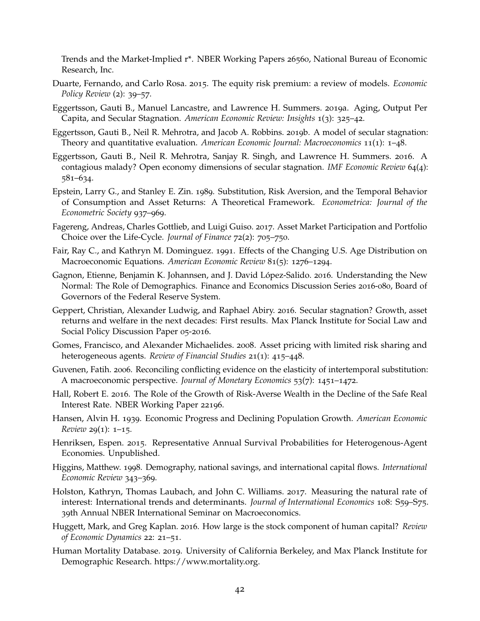Trends and the Market-Implied r\*. NBER Working Papers 26560, National Bureau of Economic Research, Inc.

- <span id="page-43-1"></span>Duarte, Fernando, and Carlo Rosa. 2015. The equity risk premium: a review of models. *Economic Policy Review* (2): 39–57.
- <span id="page-43-3"></span>Eggertsson, Gauti B., Manuel Lancastre, and Lawrence H. Summers. 2019a. Aging, Output Per Capita, and Secular Stagnation. *American Economic Review: Insights* 1(3): 325–42.
- <span id="page-43-17"></span>Eggertsson, Gauti B., Neil R. Mehrotra, and Jacob A. Robbins. 2019b. A model of secular stagnation: Theory and quantitative evaluation. *American Economic Journal: Macroeconomics* 11(1): 1–48.
- <span id="page-43-6"></span>Eggertsson, Gauti B., Neil R. Mehrotra, Sanjay R. Singh, and Lawrence H. Summers. 2016. A contagious malady? Open economy dimensions of secular stagnation. *IMF Economic Review* 64(4): 581–634.
- <span id="page-43-13"></span>Epstein, Larry G., and Stanley E. Zin. 1989. Substitution, Risk Aversion, and the Temporal Behavior of Consumption and Asset Returns: A Theoretical Framework. *Econometrica: Journal of the Econometric Society* 937–969.
- <span id="page-43-9"></span>Fagereng, Andreas, Charles Gottlieb, and Luigi Guiso. 2017. Asset Market Participation and Portfolio Choice over the Life-Cycle. *Journal of Finance* 72(2): 705–750.
- <span id="page-43-2"></span>Fair, Ray C., and Kathryn M. Dominguez. 1991. Effects of the Changing U.S. Age Distribution on Macroeconomic Equations. *American Economic Review* 81(5): 1276–1294.
- <span id="page-43-4"></span>Gagnon, Etienne, Benjamin K. Johannsen, and J. David López-Salido. 2016. Understanding the New Normal: The Role of Demographics. Finance and Economics Discussion Series 2016-080, Board of Governors of the Federal Reserve System.
- <span id="page-43-5"></span>Geppert, Christian, Alexander Ludwig, and Raphael Abiry. 2016. Secular stagnation? Growth, asset returns and welfare in the next decades: First results. Max Planck Institute for Social Law and Social Policy Discussion Paper 05-2016.
- <span id="page-43-12"></span>Gomes, Francisco, and Alexander Michaelides. 2008. Asset pricing with limited risk sharing and heterogeneous agents. *Review of Financial Studies* 21(1): 415–448.
- <span id="page-43-15"></span>Guvenen, Fatih. 2006. Reconciling conflicting evidence on the elasticity of intertemporal substitution: A macroeconomic perspective. *Journal of Monetary Economics* 53(7): 1451–1472.
- <span id="page-43-7"></span>Hall, Robert E. 2016. The Role of the Growth of Risk-Averse Wealth in the Decline of the Safe Real Interest Rate. NBER Working Paper 22196.
- <span id="page-43-0"></span>Hansen, Alvin H. 1939. Economic Progress and Declining Population Growth. *American Economic Review* 29(1): 1–15.
- <span id="page-43-14"></span>Henriksen, Espen. 2015. Representative Annual Survival Probabilities for Heterogenous-Agent Economies. Unpublished.
- <span id="page-43-11"></span>Higgins, Matthew. 1998. Demography, national savings, and international capital flows. *International Economic Review* 343–369.
- <span id="page-43-8"></span>Holston, Kathryn, Thomas Laubach, and John C. Williams. 2017. Measuring the natural rate of interest: International trends and determinants. *Journal of International Economics* 108: S59–S75. 39th Annual NBER International Seminar on Macroeconomics.
- <span id="page-43-16"></span>Huggett, Mark, and Greg Kaplan. 2016. How large is the stock component of human capital? *Review of Economic Dynamics* 22: 21–51.
- <span id="page-43-10"></span>Human Mortality Database. 2019. University of California Berkeley, and Max Planck Institute for Demographic Research. https://www.mortality.org.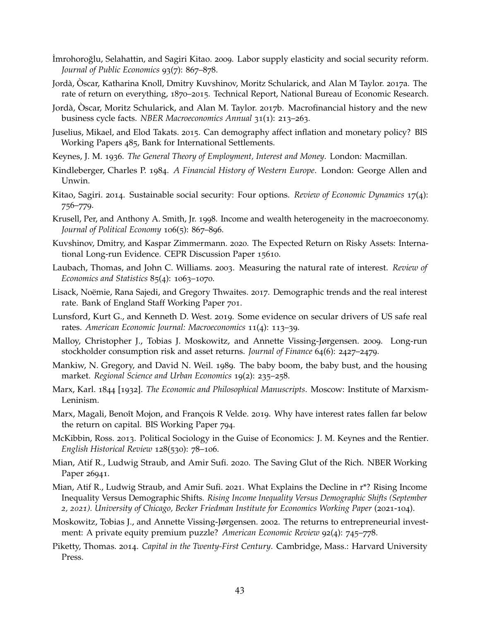- <span id="page-44-16"></span>˙Imrohoroglu, Selahattin, and Sagiri Kitao. ˘ 2009. Labor supply elasticity and social security reform. *Journal of Public Economics* 93(7): 867–878.
- <span id="page-44-7"></span>Jordà, Oscar, Katharina Knoll, Dmitry Kuvshinov, Moritz Schularick, and Alan M Taylor. 2017a. The rate of return on everything, 1870–2015. Technical Report, National Bureau of Economic Research.
- <span id="page-44-13"></span>Jordà, Oscar, Moritz Schularick, and Alan M. Taylor. 2017b. Macrofinancial history and the new business cycle facts. *NBER Macroeconomics Annual* 31(1): 213–263.
- <span id="page-44-14"></span>Juselius, Mikael, and Elod Takats. 2015. Can demography affect inflation and monetary policy? BIS Working Papers 485, Bank for International Settlements.
- <span id="page-44-2"></span>Keynes, J. M. 1936. *The General Theory of Employment, Interest and Money*. London: Macmillan.
- <span id="page-44-4"></span>Kindleberger, Charles P. 1984. *A Financial History of Western Europe*. London: George Allen and Unwin.
- <span id="page-44-15"></span>Kitao, Sagiri. 2014. Sustainable social security: Four options. *Review of Economic Dynamics* 17(4): 756–779.
- <span id="page-44-17"></span>Krusell, Per, and Anthony A. Smith, Jr. 1998. Income and wealth heterogeneity in the macroeconomy. *Journal of Political Economy* 106(5): 867–896.
- <span id="page-44-8"></span>Kuvshinov, Dmitry, and Kaspar Zimmermann. 2020. The Expected Return on Risky Assets: International Long-run Evidence. CEPR Discussion Paper 15610.
- <span id="page-44-10"></span>Laubach, Thomas, and John C. Williams. 2003. Measuring the natural rate of interest. *Review of Economics and Statistics* 85(4): 1063–1070.
- <span id="page-44-6"></span>Lisack, Noëmie, Rana Sajedi, and Gregory Thwaites. 2017. Demographic trends and the real interest rate. Bank of England Staff Working Paper 701.
- <span id="page-44-11"></span>Lunsford, Kurt G., and Kenneth D. West. 2019. Some evidence on secular drivers of US safe real rates. *American Economic Journal: Macroeconomics* 11(4): 113–39.
- <span id="page-44-19"></span>Malloy, Christopher J., Tobias J. Moskowitz, and Annette Vissing-Jørgensen. 2009. Long-run stockholder consumption risk and asset returns. *Journal of Finance* 64(6): 2427–2479.
- <span id="page-44-12"></span>Mankiw, N. Gregory, and David N. Weil. 1989. The baby boom, the baby bust, and the housing market. *Regional Science and Urban Economics* 19(2): 235–258.
- <span id="page-44-1"></span>Marx, Karl. 1844 [1932]. *The Economic and Philosophical Manuscripts*. Moscow: Institute of Marxism-Leninism.
- <span id="page-44-5"></span>Marx, Magali, Benoît Mojon, and François R Velde. 2019. Why have interest rates fallen far below the return on capital. BIS Working Paper 794.
- <span id="page-44-3"></span>McKibbin, Ross. 2013. Political Sociology in the Guise of Economics: J. M. Keynes and the Rentier. *English Historical Review* 128(530): 78–106.
- <span id="page-44-0"></span>Mian, Atif R., Ludwig Straub, and Amir Sufi. 2020. The Saving Glut of the Rich. NBER Working Paper 26941.
- <span id="page-44-20"></span>Mian, Atif R., Ludwig Straub, and Amir Sufi. 2021. What Explains the Decline in r\*? Rising Income Inequality Versus Demographic Shifts. *Rising Income Inequality Versus Demographic Shifts (September 2, 2021). University of Chicago, Becker Friedman Institute for Economics Working Paper* (2021-104).
- <span id="page-44-18"></span>Moskowitz, Tobias J., and Annette Vissing-Jørgensen. 2002. The returns to entrepreneurial investment: A private equity premium puzzle? *American Economic Review* 92(4): 745–778.
- <span id="page-44-9"></span>Piketty, Thomas. 2014. *Capital in the Twenty-First Century*. Cambridge, Mass.: Harvard University Press.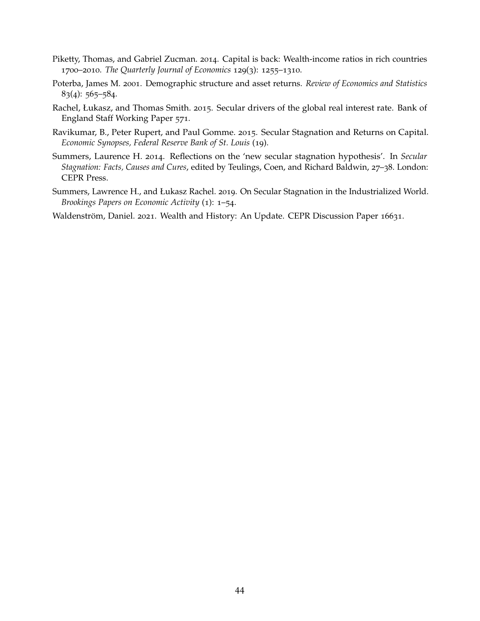- <span id="page-45-2"></span>Piketty, Thomas, and Gabriel Zucman. 2014. Capital is back: Wealth-income ratios in rich countries 1700–2010. *The Quarterly Journal of Economics* 129(3): 1255–1310.
- <span id="page-45-4"></span>Poterba, James M. 2001. Demographic structure and asset returns. *Review of Economics and Statistics* 83(4): 565–584.
- <span id="page-45-1"></span>Rachel, Łukasz, and Thomas Smith. 2015. Secular drivers of the global real interest rate. Bank of England Staff Working Paper 571.
- <span id="page-45-5"></span>Ravikumar, B., Peter Rupert, and Paul Gomme. 2015. Secular Stagnation and Returns on Capital. *Economic Synopses, Federal Reserve Bank of St. Louis* (19).
- <span id="page-45-0"></span>Summers, Laurence H. 2014. Reflections on the 'new secular stagnation hypothesis'. In *Secular Stagnation: Facts, Causes and Cures*, edited by Teulings, Coen, and Richard Baldwin, 27–38. London: CEPR Press.
- <span id="page-45-6"></span>Summers, Lawrence H., and Łukasz Rachel. 2019. On Secular Stagnation in the Industrialized World. *Brookings Papers on Economic Activity* (1): 1–54.

<span id="page-45-3"></span>Waldenström, Daniel. 2021. Wealth and History: An Update. CEPR Discussion Paper 16631.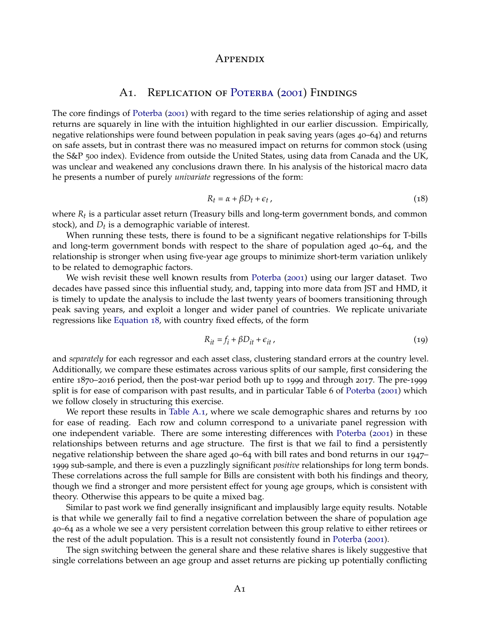#### Appendix

# A1. REPLICATION OF POTERBA ([2001](#page-45-4)) FINDINGS

<span id="page-46-0"></span>The core findings of [Poterba](#page-45-4) ([2001](#page-45-4)) with regard to the time series relationship of aging and asset returns are squarely in line with the intuition highlighted in our earlier discussion. Empirically, negative relationships were found between population in peak saving years (ages 40–64) and returns on safe assets, but in contrast there was no measured impact on returns for common stock (using the S&P 500 index). Evidence from outside the United States, using data from Canada and the UK, was unclear and weakened any conclusions drawn there. In his analysis of the historical macro data he presents a number of purely *univariate* regressions of the form:

<span id="page-46-1"></span>
$$
R_t = \alpha + \beta D_t + \epsilon_t, \qquad (18)
$$

where *Rt* is a particular asset return (Treasury bills and long-term government bonds, and common stock), and *Dt* is a demographic variable of interest.

When running these tests, there is found to be a significant negative relationships for T-bills and long-term government bonds with respect to the share of population aged 40–64, and the relationship is stronger when using five-year age groups to minimize short-term variation unlikely to be related to demographic factors.

We wish revisit these well known results from [Poterba](#page-45-4) ([2001](#page-45-4)) using our larger dataset. Two decades have passed since this influential study, and, tapping into more data from JST and HMD, it is timely to update the analysis to include the last twenty years of boomers transitioning through peak saving years, and exploit a longer and wider panel of countries. We replicate univariate regressions like [Equation](#page-46-1) 18, with country fixed effects, of the form

$$
R_{it} = f_i + \beta D_{it} + \epsilon_{it}, \qquad (19)
$$

and *separately* for each regressor and each asset class, clustering standard errors at the country level. Additionally, we compare these estimates across various splits of our sample, first considering the entire 1870–2016 period, then the post-war period both up to 1999 and through 2017. The pre-1999 split is for ease of comparison with past results, and in particular Table 6 of [Poterba](#page-45-4) ([2001](#page-45-4)) which we follow closely in structuring this exercise.

We report these results in [Table A.](#page-47-0)1, where we scale demographic shares and returns by 100 for ease of reading. Each row and column correspond to a univariate panel regression with one independent variable. There are some interesting differences with [Poterba](#page-45-4) ([2001](#page-45-4)) in these relationships between returns and age structure. The first is that we fail to find a persistently negative relationship between the share aged 40–64 with bill rates and bond returns in our 1947– 1999 sub-sample, and there is even a puzzlingly significant *positive* relationships for long term bonds. These correlations across the full sample for Bills are consistent with both his findings and theory, though we find a stronger and more persistent effect for young age groups, which is consistent with theory. Otherwise this appears to be quite a mixed bag.

Similar to past work we find generally insignificant and implausibly large equity results. Notable is that while we generally fail to find a negative correlation between the share of population age 40–64 as a whole we see a very persistent correlation between this group relative to either retirees or the rest of the adult population. This is a result not consistently found in [Poterba](#page-45-4) ([2001](#page-45-4)).

The sign switching between the general share and these relative shares is likely suggestive that single correlations between an age group and asset returns are picking up potentially conflicting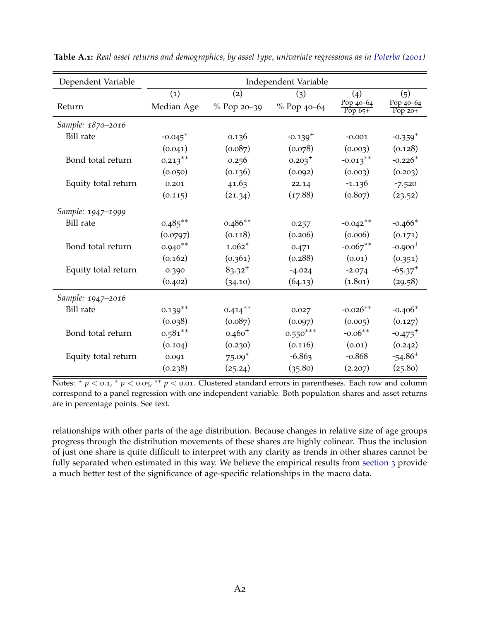| Dependent Variable  | Independent Variable  |               |              |                         |                        |
|---------------------|-----------------------|---------------|--------------|-------------------------|------------------------|
|                     | (1)                   | (2)           | (3)          | (4)                     | (5)                    |
| Return              | Median Age            | $%$ Pop 20-39 | % Pop 40-64  | Pop 40-64<br>$Pop\,65+$ | Pop 40-64<br>Pop $20+$ |
| Sample: 1870-2016   |                       |               |              |                         |                        |
| <b>Bill</b> rate    | $-0.045$ <sup>*</sup> | 0.136         | $-0.139^{+}$ | $-0.001$                | $-0.359*$              |
|                     | (0.041)               | (0.087)       | (0.078)      | (0.003)                 | (0.128)                |
| Bond total return   | $0.213***$            | 0.256         | $0.203^+$    | $-0.013***$             | $-0.226*$              |
|                     | (0.050)               | (0.136)       | (0.092)      | (0.003)                 | (0.203)                |
| Equity total return | 0.201                 | 41.63         | 22.14        | $-1.136$                | $-7.520$               |
|                     | (0.115)               | (21.34)       | (17.88)      | (0.807)                 | (23.52)                |
| Sample: 1947-1999   |                       |               |              |                         |                        |
| <b>Bill</b> rate    | $0.485***$            | $0.486**$     | 0.257        | $-0.042**$              | $-0.466*$              |
|                     | (0.0797)              | (0.118)       | (0.206)      | (0.006)                 | (0.171)                |
| Bond total return   | $0.940**$             | $1.062*$      | 0.471        | $-0.067**$              | $-0.900^{+}$           |
|                     | (0.162)               | (0.361)       | (0.288)      | (0.01)                  | (0.351)                |
| Equity total return | 0.390                 | $83.32^{+}$   | $-4.024$     | $-2.074$                | $-65.37$ <sup>+</sup>  |
|                     | (0.402)               | (34.10)       | (64.13)      | (1.801)                 | (29.58)                |
| Sample: 1947-2016   |                       |               |              |                         |                        |
| <b>Bill</b> rate    | $0.139***$            | $0.414***$    | 0.027        | $-0.026**$              | $-0.406*$              |
|                     | (0.038)               | (0.087)       | (0.097)      | (0.005)                 | (0.127)                |
| Bond total return   | $0.581**$             | $0.460^{+}$   | $0.550***$   | $-0.06**$               | $-0.475$ <sup>+</sup>  |
|                     | (0.104)               | (0.230)       | (0.116)      | (0.01)                  | (0.242)                |
| Equity total return | 0.091                 | $75.09*$      | $-6.863$     | $-0.868$                | $-54.86$ <sup>+</sup>  |
|                     | (0.238)               | (25.24)       | (35.80)      | (2.207)                 | (25.80)                |

<span id="page-47-0"></span>**Table A.1:** *Real asset returns and demographics, by asset type, univariate regressions as in [Poterba](#page-45-4) ([2001](#page-45-4))*

Notes: <sup>+</sup> *p* < 0.1, <sup>\*</sup> *p* < 0.05, <sup>\*\*</sup> *p* < 0.01. Clustered standard errors in parentheses. Each row and column correspond to a panel regression with one independent variable. Both population shares and asset returns are in percentage points. See text.

relationships with other parts of the age distribution. Because changes in relative size of age groups progress through the distribution movements of these shares are highly colinear. Thus the inclusion of just one share is quite difficult to interpret with any clarity as trends in other shares cannot be fully separated when estimated in this way. We believe the empirical results from [section](#page-9-1) 3 provide a much better test of the significance of age-specific relationships in the macro data.